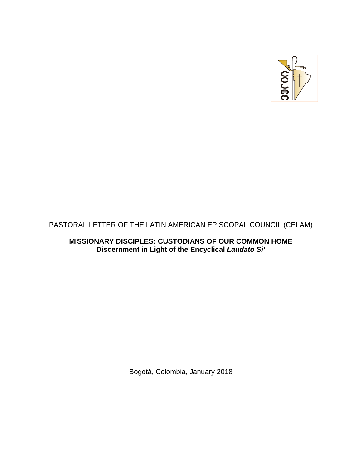

# PASTORAL LETTER OF THE LATIN AMERICAN EPISCOPAL COUNCIL (CELAM)

**MISSIONARY DISCIPLES: CUSTODIANS OF OUR COMMON HOME Discernment in Light of the Encyclical** *Laudato Si'* 

Bogotá, Colombia, January 2018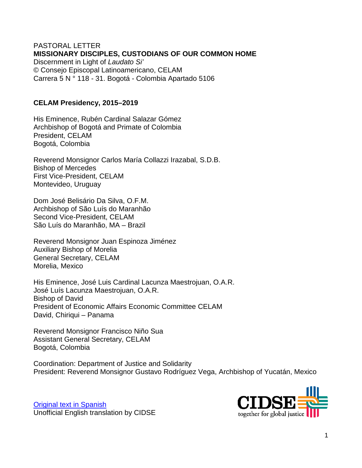#### PASTORAL LETTER **MISSIONARY DISCIPLES, CUSTODIANS OF OUR COMMON HOME** Discernment in Light of *Laudato Si'* © Consejo Episcopal Latinoamericano, CELAM Carrera 5 N ° 118 - 31. Bogotá - Colombia Apartado 5106

### **CELAM Presidency, 2015–2019**

His Eminence, Rubén Cardinal Salazar Gómez Archbishop of Bogotá and Primate of Colombia President, CELAM Bogotá, Colombia

Reverend Monsignor Carlos María Collazzi Irazabal, S.D.B. Bishop of Mercedes First Vice-President, CELAM Montevideo, Uruguay

Dom José Belisário Da Silva, O.F.M. Archbishop of São Luís do Maranhão Second Vice-President, CELAM São Luís do Maranhão, MA – Brazil

Reverend Monsignor Juan Espinoza Jiménez Auxiliary Bishop of Morelia General Secretary, CELAM Morelia, Mexico

His Eminence, José Luis Cardinal Lacunza Maestrojuan, O.A.R. José Luís Lacunza Maestrojuan, O.A.R. Bishop of David President of Economic Affairs Economic Committee CELAM David, Chiriqui – Panama

Reverend Monsignor Francisco Niño Sua Assistant General Secretary, CELAM Bogotá, Colombia

Coordination: Department of Justice and Solidarity President: Reverend Monsignor Gustavo Rodríguez Vega, Archbishop of Yucatán, Mexico



[Original text](http://iglesiasymineria.org/wp-content/uploads/2018/03/CARTA-PASTORAL-CELAM-2018.pdf) in Spanish Unofficial English translation by CIDSE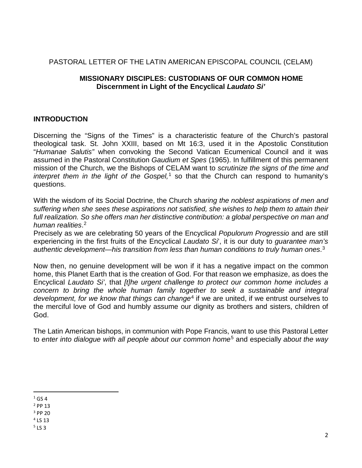### PASTORAL LETTER OF THE LATIN AMERICAN EPISCOPAL COUNCIL (CELAM)

### **MISSIONARY DISCIPLES: CUSTODIANS OF OUR COMMON HOME Discernment in Light of the Encyclical** *Laudato Si'*

### **INTRODUCTION**

Discerning the "Signs of the Times" is a characteristic feature of the Church's pastoral theological task. St. John XXIII, based on Mt 16:3, used it in the Apostolic Constitution "*Humanae Salutis"* when convoking the Second Vatican Ecumenical Council and it was assumed in the Pastoral Constitution *Gaudium et Spes* (1965). In fulfillment of this permanent mission of the Church, we the Bishops of CELAM want to *scrutinize the signs of the time and interpret them in the light of the Gospel*,<sup>[1](#page-2-0)</sup> so that the Church can respond to humanity's questions.

With the wisdom of its Social Doctrine, the Church *sharing the noblest aspirations of men and suffering when she sees these aspirations not satisfied, she wishes to help them to attain their*  full realization. So she offers man her distinctive contribution: a global perspective on man and *human realities*. [2](#page-2-1)

Precisely as we are celebrating 50 years of the Encyclical *Populorum Progressio* and are still experiencing in the first fruits of the Encyclical *Laudato Si*', it is our duty to *guarantee man's authentic development—his transition from less than human conditions to truly human ones*. [3](#page-2-2)

Now then, no genuine development will be won if it has a negative impact on the common home, this Planet Earth that is the creation of God. For that reason we emphasize, as does the Encyclical *Laudato Si'*, that *[t]he urgent challenge to protect our common home includes a concern to bring the whole human family together to seek a sustainable and integral development, for we know that things can change*[4](#page-2-3) if we are united, if we entrust ourselves to the merciful love of God and humbly assume our dignity as brothers and sisters, children of God.

The Latin American bishops, in communion with Pope Francis, want to use this Pastoral Letter to *enter into dialogue with all people about our common home*[5](#page-2-4) and especially *about the way* 

<span id="page-2-0"></span> $1$  GS 4

<span id="page-2-1"></span><sup>2</sup> PP 13

<span id="page-2-2"></span><sup>3</sup> PP 20

<span id="page-2-3"></span><sup>4</sup> LS 13

<span id="page-2-4"></span> $5153$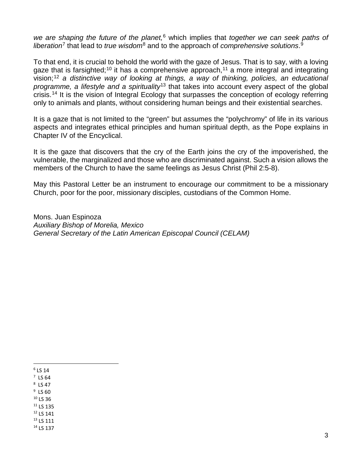*we are shaping the future of the planet,*[6](#page-3-0) which implies that *together we can seek paths of liberation*[7](#page-3-1) that lead to *true wisdom*[8](#page-3-2) and to the approach of *comprehensive solutions*. [9](#page-3-3)

To that end, it is crucial to behold the world with the gaze of Jesus. That is to say, with a loving gaze that is farsighted;<sup>[10](#page-3-4)</sup> it has a comprehensive approach,<sup>[11](#page-3-5)</sup> a more integral and integrating vision;[12](#page-3-6) *a distinctive way of looking at things, a way of thinking, policies, an educational programme, a lifestyle and a spirituality*[13](#page-3-7) that takes into account every aspect of the global crisis.<sup>[14](#page-3-8)</sup> It is the vision of Integral Ecology that surpasses the conception of ecology referring only to animals and plants, without considering human beings and their existential searches.

It is a gaze that is not limited to the "green" but assumes the "polychromy" of life in its various aspects and integrates ethical principles and human spiritual depth, as the Pope explains in Chapter IV of the Encyclical.

It is the gaze that discovers that the cry of the Earth joins the cry of the impoverished, the vulnerable, the marginalized and those who are discriminated against. Such a vision allows the members of the Church to have the same feelings as Jesus Christ (Phil 2:5-8).

May this Pastoral Letter be an instrument to encourage our commitment to be a missionary Church, poor for the poor, missionary disciples, custodians of the Common Home.

Mons. Juan Espinoza *Auxiliary Bishop of Morelia, Mexico General Secretary of the Latin American Episcopal Council (CELAM)*

<span id="page-3-0"></span> $6$  LS 14

<span id="page-3-1"></span> $<sup>7</sup>$  LS 64</sup>

<span id="page-3-2"></span> $8$  LS 47

<span id="page-3-3"></span> $9$  LS 60

<span id="page-3-4"></span> $10$  LS 36

<span id="page-3-5"></span><sup>11</sup> LS 135

<span id="page-3-6"></span><sup>12</sup> LS 141

<span id="page-3-8"></span><span id="page-3-7"></span><sup>13</sup> LS 111 <sup>14</sup> LS 137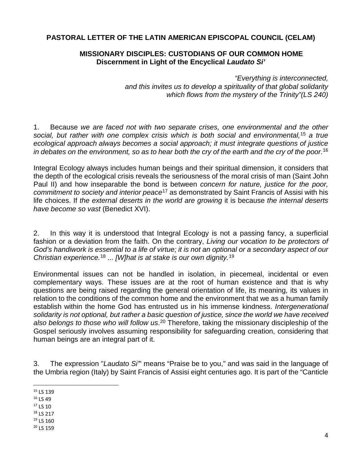## **PASTORAL LETTER OF THE LATIN AMERICAN EPISCOPAL COUNCIL (CELAM)**

### **MISSIONARY DISCIPLES: CUSTODIANS OF OUR COMMON HOME Discernment in Light of the Encyclical** *Laudato Si'*

*"Everything is interconnected, and this invites us to develop a spirituality of that global solidarity which flows from the mystery of the Trinity"(LS 240)*

1. Because *we are faced not with two separate crises, one environmental and the other social, but rather with one complex crisis which is both social and environmental,*[15](#page-4-0) *a true ecological approach always becomes a social approach; it must integrate questions of justice in debates on the environment, so as to hear both the cry of the earth and the cry of the poor*. [16](#page-4-1)

Integral Ecology always includes human beings and their spiritual dimension, it considers that the depth of the ecological crisis reveals the seriousness of the moral crisis of man (Saint John Paul II) and how inseparable the bond is between *concern for nature, justice for the poor, commitment to society and interior peace*[17](#page-4-2) as demonstrated by Saint Francis of Assisi with his life choices. If *the external deserts in the world are growing* it is because *the internal deserts have become so vast* (Benedict XVI).

2. In this way it is understood that Integral Ecology is not a passing fancy, a superficial fashion or a deviation from the faith. On the contrary, *Living our vocation to be protectors of God's handiwork is essential to a life of virtue; it is not an optional or a secondary aspect of our Christian experience.*[18](#page-4-3) *... [W]hat is at stake is our own dignity.*[19](#page-4-4)

Environmental issues can not be handled in isolation, in piecemeal, incidental or even complementary ways. These issues are at the root of human existence and that is why questions are being raised regarding the general orientation of life, its meaning, its values in relation to the conditions of the common home and the environment that we as a human family establish within the home God has entrusted us in his immense kindness. *Intergenerational solidarity is not optional, but rather a basic question of justice, since the world we have received also belongs to those who will follow us*. [20](#page-4-5) Therefore, taking the missionary discipleship of the Gospel seriously involves assuming responsibility for safeguarding creation, considering that human beings are an integral part of it.

3. The expression "*Laudato Si'*" means "Praise be to you," and was said in the language of the Umbria region (Italy) by Saint Francis of Assisi eight centuries ago. It is part of the "Canticle

- <span id="page-4-0"></span>15 LS 139
- <span id="page-4-1"></span> $16$  LS 49
- <span id="page-4-2"></span><sup>17</sup> LS 10
- <span id="page-4-3"></span><sup>18</sup> LS 217 <sup>19</sup> LS 160
- <span id="page-4-5"></span><span id="page-4-4"></span><sup>20</sup> LS 159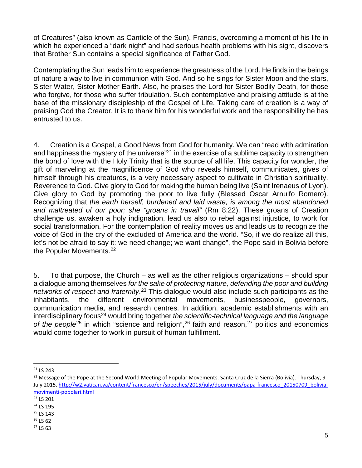of Creatures" (also known as Canticle of the Sun). Francis, overcoming a moment of his life in which he experienced a "dark night" and had serious health problems with his sight, discovers that Brother Sun contains a special significance of Father God.

Contemplating the Sun leads him to experience the greatness of the Lord. He finds in the beings of nature a way to live in communion with God. And so he sings for Sister Moon and the stars, Sister Water, Sister Mother Earth. Also, he praises the Lord for Sister Bodily Death, for those who forgive, for those who suffer tribulation. Such contemplative and praising attitude is at the base of the missionary discipleship of the Gospel of Life. Taking care of creation is a way of praising God the Creator. It is to thank him for his wonderful work and the responsibility he has entrusted to us.

4. Creation is a Gospel, a Good News from God for humanity. We can "read with admiration and happiness the mystery of the universe<sup>"[21](#page-5-0)</sup> in the exercise of a sublime capacity to strengthen the bond of love with the Holy Trinity that is the source of all life. This capacity for wonder, the gift of marveling at the magnificence of God who reveals himself, communicates, gives of himself through his creatures, is a very necessary aspect to cultivate in Christian spirituality. Reverence to God. Give glory to God for making the human being live (Saint Irenaeus of Lyon). Give glory to God by promoting the poor to live fully (Blessed Oscar Arnulfo Romero). Recognizing that *the earth herself, burdened and laid waste, is among the most abandoned and maltreated of our poor; she "groans in travail"* (Rm 8:22). These groans of Creation challenge us, awaken a holy indignation, lead us also to rebel against injustice, to work for social transformation. For the contemplation of reality moves us and leads us to recognize the voice of God in the cry of the excluded of America and the world. "So, if we do realize all this, let's not be afraid to say it: we need change; we want change", the Pope said in Bolivia before the Popular Movements.<sup>[22](#page-5-1)</sup>

5. To that purpose, the Church – as well as the other religious organizations – should spur a dialogue among themselves *for the sake of protecting nature, defending the poor and building networks of respect and fraternity*. [23](#page-5-2) This dialogue would also include such participants as the inhabitants, the different environmental movements, businesspeople, governors, communication media, and research centres. In addition, academic establishments with an interdisciplinary focus[24](#page-5-3) would bring together *the scientific-technical language and the language*  of the people<sup>[25](#page-5-4)</sup> in which "science and religion",<sup>[26](#page-5-5)</sup> faith and reason,<sup>27</sup> politics and economics would come together to work in pursuit of human fulfillment.

<span id="page-5-0"></span> <sup>21</sup> LS 243

<span id="page-5-1"></span><sup>&</sup>lt;sup>22</sup> Message of the Pope at the Second World Meeting of Popular Movements. Santa Cruz de la Sierra (Bolivia). Thursday, 9 July 2015. [http://w2.vatican.va/content/francesco/en/speeches/2015/july/documents/papa-francesco\\_20150709\\_bolivia](http://w2.vatican.va/content/francesco/en/speeches/2015/july/documents/papa-francesco_20150709_bolivia-movimenti-popolari.html)[movimenti-popolari.html](http://w2.vatican.va/content/francesco/en/speeches/2015/july/documents/papa-francesco_20150709_bolivia-movimenti-popolari.html)

<span id="page-5-2"></span><sup>23</sup> LS 201

<span id="page-5-3"></span><sup>24</sup> LS 195

<span id="page-5-4"></span><sup>25</sup> LS 143

<span id="page-5-5"></span><sup>26</sup> LS 62

<span id="page-5-6"></span><sup>27</sup> LS 63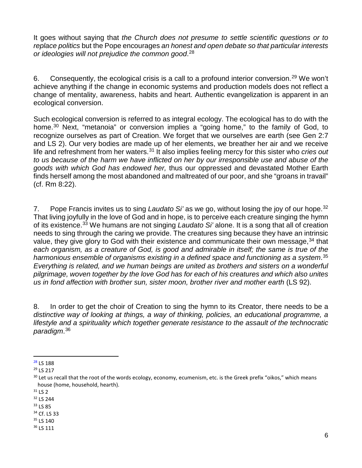It goes without saying that *the Church does not presume to settle scientific questions or to replace politics* but the Pope encourages *an honest and open debate so that particular interests or ideologies will not prejudice the common good*. [28](#page-6-0)

6. Consequently, the ecological crisis is a call to a profound interior conversion.<sup>[29](#page-6-1)</sup> We won't achieve anything if the change in economic systems and production models does not reflect a change of mentality, awareness, habits and heart. Authentic evangelization is apparent in an ecological conversion.

Such ecological conversion is referred to as integral ecology. The ecological has to do with the home.<sup>30</sup> Next, "metanoia" or conversion implies a "going home," to the family of God, to recognize ourselves as part of Creation. We forget that we ourselves are earth (see Gen 2:7 and LS 2). Our very bodies are made up of her elements, we breather her air and we receive life and refreshment from her waters.[31](#page-6-3) It also implies feeling mercy for this sister who *cries out to us because of the harm we have inflicted on her by our irresponsible use and abuse of the goods with which God has endowed her,* thus our oppressed and devastated Mother Earth finds herself among the most abandoned and maltreated of our poor, and she "groans in travail" (cf. Rm 8:22).

7. Pope Francis invites us to sing *Laudato Si'* as we go, without losing the joy of our hope.[32](#page-6-4) That living joyfully in the love of God and in hope, is to perceive each creature singing the hymn of its existence.[33](#page-6-5) We humans are not singing *Laudato Si'* alone. It is a song that all of creation needs to sing through the caring we provide. The creatures sing because they have an intrinsic value, they give glory to God with their existence and communicate their own message,<sup>[34](#page-6-6)</sup> that each organism, as a creature of God, is good and admirable in itself; the same is true of the *harmonious ensemble of organisms existing in a defined space and functioning as a system*. [35](#page-6-7) *Everything is related, and we human beings are united as brothers and sisters on a wonderful pilgrimage, woven together by the love God has for each of his creatures and which also unites us in fond affection with brother sun, sister moon, brother river and mother earth* (LS 92).

8. In order to get the choir of Creation to sing the hymn to its Creator, there needs to be a *distinctive way of looking at things, a way of thinking, policies, an educational programme, a lifestyle and a spirituality which together generate resistance to the assault of the technocratic paradigm*. [36](#page-6-8)

<span id="page-6-8"></span><span id="page-6-7"></span><sup>36</sup> LS 111

<span id="page-6-0"></span> <sup>28</sup> LS 188

<span id="page-6-1"></span><sup>29</sup> LS 217

<span id="page-6-2"></span> $30$  Let us recall that the root of the words ecology, economy, ecumenism, etc. is the Greek prefix "oikos," which means house (home, household, hearth).

<span id="page-6-3"></span> $31$  LS 2

<span id="page-6-4"></span><sup>32</sup> LS 244

<span id="page-6-5"></span><sup>33</sup> LS 85

<span id="page-6-6"></span><sup>34</sup> Cf. LS 33 <sup>35</sup> LS 140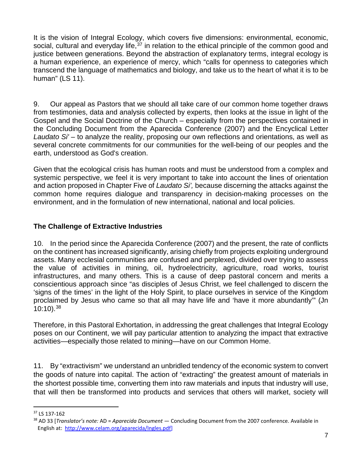It is the vision of Integral Ecology, which covers five dimensions: environmental, economic, social, cultural and everyday life,  $37$  in relation to the ethical principle of the common good and justice between generations. Beyond the abstraction of explanatory terms, integral ecology is a human experience, an experience of mercy, which "calls for openness to categories which transcend the language of mathematics and biology, and take us to the heart of what it is to be human" (LS 11).

9. Our appeal as Pastors that we should all take care of our common home together draws from testimonies, data and analysis collected by experts, then looks at the issue in light of the Gospel and the Social Doctrine of the Church – especially from the perspectives contained in the Concluding Document from the Aparecida Conference (2007) and the Encyclical Letter *Laudato Si'* – to analyze the reality, proposing our own reflections and orientations, as well as several concrete commitments for our communities for the well-being of our peoples and the earth, understood as God's creation.

Given that the ecological crisis has human roots and must be understood from a complex and systemic perspective, we feel it is very important to take into account the lines of orientation and action proposed in Chapter Five of *Laudato Si',* because discerning the attacks against the common home requires dialogue and transparency in decision-making processes on the environment, and in the formulation of new international, national and local policies.

# **The Challenge of Extractive Industries**

10. In the period since the Aparecida Conference (2007) and the present, the rate of conflicts on the continent has increased significantly, arising chiefly from projects exploiting underground assets. Many ecclesial communities are confused and perplexed, divided over trying to assess the value of activities in mining, oil, hydroelectricity, agriculture, road works, tourist infrastructures, and many others. This is a cause of deep pastoral concern and merits a conscientious approach since "as disciples of Jesus Christ, we feel challenged to discern the 'signs of the times' in the light of the Holy Spirit, to place ourselves in service of the Kingdom proclaimed by Jesus who came so that all may have life and 'have it more abundantly'" (Jn  $10:10$ ).<sup>[38](#page-7-1)</sup>

Therefore, in this Pastoral Exhortation, in addressing the great challenges that Integral Ecology poses on our Continent, we will pay particular attention to analyzing the impact that extractive activities—especially those related to mining—have on our Common Home.

11. By "extractivism" we understand an unbridled tendency of the economic system to convert the goods of nature into capital. The action of "extracting" the greatest amount of materials in the shortest possible time, converting them into raw materials and inputs that industry will use, that will then be transformed into products and services that others will market, society will

<span id="page-7-0"></span> <sup>37</sup> LS 137-162

<span id="page-7-1"></span><sup>38</sup> AD 33 [*Translator's note:* AD = *Aparecida Document* — Concluding Document from the 2007 conference. Available in English at: [http://www.celam.org/aparecida/Ingles.pdf\]](http://www.celam.org/aparecida/Ingles.pdf)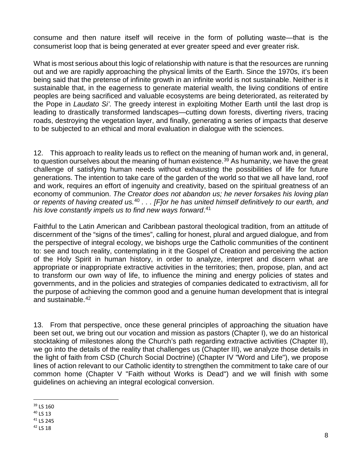consume and then nature itself will receive in the form of polluting waste—that is the consumerist loop that is being generated at ever greater speed and ever greater risk.

What is most serious about this logic of relationship with nature is that the resources are running out and we are rapidly approaching the physical limits of the Earth. Since the 1970s, it's been being said that the pretense of infinite growth in an infinite world is not sustainable. Neither is it sustainable that, in the eagerness to generate material wealth, the living conditions of entire peoples are being sacrificed and valuable ecosystems are being deteriorated, as reiterated by the Pope in *Laudato Si'*. The greedy interest in exploiting Mother Earth until the last drop is leading to drastically transformed landscapes—cutting down forests, diverting rivers, tracing roads, destroying the vegetation layer, and finally, generating a series of impacts that deserve to be subjected to an ethical and moral evaluation in dialogue with the sciences.

12. This approach to reality leads us to reflect on the meaning of human work and, in general, to question ourselves about the meaning of human existence.<sup>[39](#page-8-0)</sup> As humanity, we have the great challenge of satisfying human needs without exhausting the possibilities of life for future generations. The intention to take care of the garden of the world so that we all have land, roof and work, requires an effort of ingenuity and creativity, based on the spiritual greatness of an economy of communion. *The Creator does not abandon us; he never forsakes his loving plan or repents of having created us.*[40](#page-8-1) *. . . [F]or he has united himself definitively to our earth, and his love constantly impels us to find new ways forward*. [41](#page-8-2)

Faithful to the Latin American and Caribbean pastoral theological tradition, from an attitude of discernment of the "signs of the times", calling for honest, plural and argued dialogue, and from the perspective of integral ecology, we bishops urge the Catholic communities of the continent to: see and touch reality, contemplating in it the Gospel of Creation and perceiving the action of the Holy Spirit in human history, in order to analyze, interpret and discern what are appropriate or inappropriate extractive activities in the territories; then, propose, plan, and act to transform our own way of life, to influence the mining and energy policies of states and governments, and in the policies and strategies of companies dedicated to extractivism, all for the purpose of achieving the common good and a genuine human development that is integral and sustainable.[42](#page-8-3)

13. From that perspective, once these general principles of approaching the situation have been set out, we bring out our vocation and mission as pastors (Chapter I), we do an historical stocktaking of milestones along the Church's path regarding extractive activities (Chapter II), we go into the details of the reality that challenges us (Chapter III), we analyze those details in the light of faith from CSD (Church Social Doctrine) (Chapter IV "Word and Life"), we propose lines of action relevant to our Catholic identity to strengthen the commitment to take care of our common home (Chapter V "Faith without Works is Dead") and we will finish with some guidelines on achieving an integral ecological conversion.

<span id="page-8-0"></span> <sup>39</sup> LS 160

<span id="page-8-1"></span><sup>40</sup> LS 13

<span id="page-8-2"></span><sup>41</sup> LS 245

<span id="page-8-3"></span><sup>42</sup> LS 18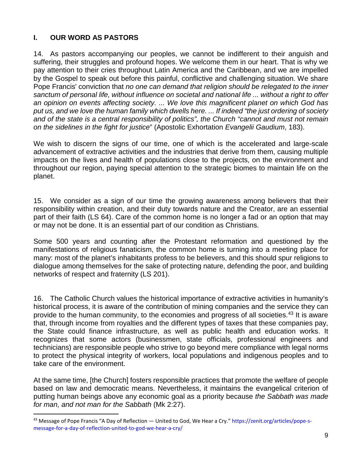# **I. OUR WORD AS PASTORS**

14. As pastors accompanying our peoples, we cannot be indifferent to their anguish and suffering, their struggles and profound hopes. We welcome them in our heart. That is why we pay attention to their cries throughout Latin America and the Caribbean, and we are impelled by the Gospel to speak out before this painful, conflictive and challenging situation. We share Pope Francis' conviction that *no one can demand that religion should be relegated to the inner sanctum of personal life, without influence on societal and national life ... without a right to offer an opinion on events affecting society. ... We love this magnificent planet on which God has put us, and we love the human family which dwells here. ... If indeed "the just ordering of society and of the state is a central responsibility of politics", the Church "cannot and must not remain on the sidelines in the fight for justice*" (Apostolic Exhortation *Evangelii Gaudium*, 183).

We wish to discern the signs of our time, one of which is the accelerated and large-scale advancement of extractive activities and the industries that derive from them, causing multiple impacts on the lives and health of populations close to the projects, on the environment and throughout our region, paying special attention to the strategic biomes to maintain life on the planet.

15. We consider as a sign of our time the growing awareness among believers that their responsibility within creation, and their duty towards nature and the Creator, are an essential part of their faith (LS 64). Care of the common home is no longer a fad or an option that may or may not be done. It is an essential part of our condition as Christians.

Some 500 years and counting after the Protestant reformation and questioned by the manifestations of religious fanaticism, the common home is turning into a meeting place for many: most of the planet's inhabitants profess to be believers, and this should spur religions to dialogue among themselves for the sake of protecting nature, defending the poor, and building networks of respect and fraternity (LS 201).

16. The Catholic Church values the historical importance of extractive activities in humanity's historical process, it is aware of the contribution of mining companies and the service they can provide to the human community, to the economies and progress of all societies.<sup>[43](#page-9-0)</sup> It is aware that, through income from royalties and the different types of taxes that these companies pay, the State could finance infrastructure, as well as public health and education works. It recognizes that some actors (businessmen, state officials, professional engineers and technicians) are responsible people who strive to go beyond mere compliance with legal norms to protect the physical integrity of workers, local populations and indigenous peoples and to take care of the environment.

At the same time, [the Church] fosters responsible practices that promote the welfare of people based on law and democratic means. Nevertheless, it maintains the evangelical criterion of putting human beings above any economic goal as a priority because *the Sabbath was made for man, and not man for the Sabbath* (Mk 2:27).

<span id="page-9-0"></span> $43$  Message of Pope Francis "A Day of Reflection — United to God, We Hear a Cry." https://zenit.org/articles/pope-smessage-for-a-day-of-reflection-united-to-god-we-hear-a-cry/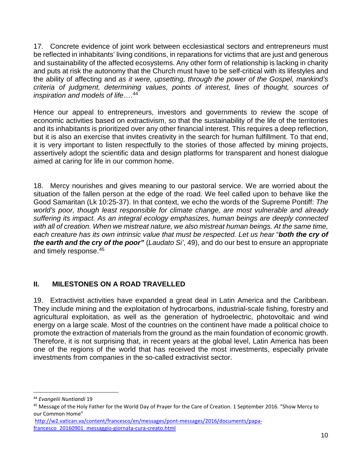17. Concrete evidence of joint work between ecclesiastical sectors and entrepreneurs must be reflected in inhabitants' living conditions, in reparations for victims that are just and generous and sustainability of the affected ecosystems. Any other form of relationship is lacking in charity and puts at risk the autonomy that the Church must have to be self-critical with its lifestyles and the ability of affecting and *as it were, upsetting, through the power of the Gospel, mankind's criteria of judgment, determining values, points of interest, lines of thought, sources of inspiration and models of life*….[44](#page-10-0)

Hence our appeal to entrepreneurs, investors and governments to review the scope of economic activities based on extractivism, so that the sustainability of the life of the territories and its inhabitants is prioritized over any other financial interest. This requires a deep reflection, but it is also an exercise that invites creativity in the search for human fulfillment. To that end, it is very important to listen respectfully to the stories of those affected by mining projects, assertively adopt the scientific data and design platforms for transparent and honest dialogue aimed at caring for life in our common home.

18. Mercy nourishes and gives meaning to our pastoral service. We are worried about the situation of the fallen person at the edge of the road. We feel called upon to behave like the Good Samaritan (Lk 10:25-37). In that context, we echo the words of the Supreme Pontiff: *The world's poor, though least responsible for climate change, are most vulnerable and already suffering its impact. As an integral ecology emphasizes, human beings are deeply connected*  with all of creation. When we mistreat nature, we also mistreat human beings. At the same time, *each creature has its own intrinsic value that must be respected. Let us hear* "*both the cry of the earth and the cry of the poor"* (*[Laudato Si'](http://w2.vatican.va/content/francesco/en/encyclicals/documents/papa-francesco_20150524_enciclica-laudato-si.html)*, 49), and do our best to ensure an appropriate and timely response.[45](#page-10-1)

# **II. MILESTONES ON A ROAD TRAVELLED**

19. Extractivist activities have expanded a great deal in Latin America and the Caribbean. They include mining and the exploitation of hydrocarbons, industrial-scale fishing, forestry and agricultural exploitation, as well as the generation of hydroelectric, photovoltaic and wind energy on a large scale. Most of the countries on the continent have made a political choice to promote the extraction of materials from the ground as the main foundation of economic growth. Therefore, it is not surprising that, in recent years at the global level, Latin America has been one of the regions of the world that has received the most investments, especially private investments from companies in the so-called extractivist sector.

<span id="page-10-0"></span> <sup>44</sup> *Evangelii Nuntiandi* <sup>19</sup>

<span id="page-10-1"></span><sup>&</sup>lt;sup>45</sup> Message of the Holy Father for the World Day of Prayer for the Care of Creation. 1 September 2016. "Show Mercy to our Common Home"

[http://w2.vatican.va/content/francesco/en/messages/pont-messages/2016/documents/papa](http://w2.vatican.va/content/francesco/en/messages/pont-messages/2016/documents/papa-francesco_20160901_messaggio-giornata-cura-creato.html)[francesco\\_20160901\\_messaggio-giornata-cura-creato.html](http://w2.vatican.va/content/francesco/en/messages/pont-messages/2016/documents/papa-francesco_20160901_messaggio-giornata-cura-creato.html)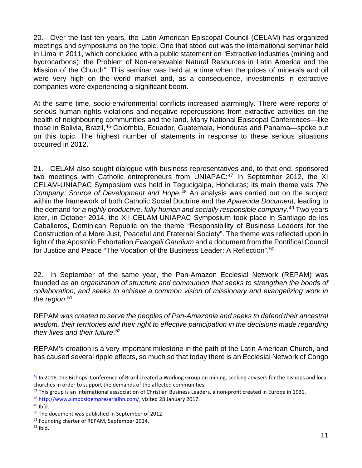20. Over the last ten years, the Latin American Episcopal Council (CELAM) has organized meetings and symposiums on the topic. One that stood out was the international seminar held in Lima in 2011, which concluded with a public statement on "Extractive industries (mining and hydrocarbons): the Problem of Non-renewable Natural Resources in Latin America and the Mission of the Church". This seminar was held at a time when the prices of minerals and oil were very high on the world market and, as a consequence, investments in extractive companies were experiencing a significant boom.

At the same time, socio-environmental conflicts increased alarmingly. There were reports of serious human rights violations and negative repercussions from extractive activities on the health of neighbouring communities and the land. Many National Episcopal Conferences—like those in Bolivia, Brazil,<sup>[46](#page-11-0)</sup> Colombia, Ecuador, Guatemala, Honduras and Panama-spoke out on this topic. The highest number of statements in response to these serious situations occurred in 2012.

21. CELAM also sought dialogue with business representatives and, to that end, sponsored two meetings with Catholic entrepreneurs from UNIAPAC:<sup>[47](#page-11-1)</sup> In September 2012, the XI CELAM-UNIAPAC Symposium was held in Tegucigalpa, Honduras; its main theme was *The Company: Source of Development and Hope.*[48](#page-11-2) An analysis was carried out on the subject within the framework of both Catholic Social Doctrine and the *Aparecida Document*, leading to the demand for *a highly productive, fully human and socially responsible company.*[49](#page-11-3) Two years later, in October 2014, the XII CELAM-UNIAPAC Symposium took place in Santiago de los Caballeros, Dominican Republic on the theme "Responsibility of Business Leaders for the Construction of a More Just, Peaceful and Fraternal Society". The theme was reflected upon in light of the Apostolic Exhortation *Evangelii Gaudium* and a document from the Pontifical Council for Justice and Peace "The Vocation of the Business Leader: A Reflection".[50](#page-11-4)

22. In September of the same year, the Pan-Amazon Ecclesial Network (REPAM) was founded as an *organization of structure and communion that seeks to strengthen the bonds of collaboration, and seeks to achieve a common vision of missionary and evangelizing work in the region*. [51](#page-11-5)

REPAM *was created to serve the peoples of Pan-Amazonia and seeks to defend their ancestral wisdom, their territories and their right to effective participation in the decisions made regarding their lives and their future*. [52](#page-11-6)

REPAM's creation is a very important milestone in the path of the Latin American Church, and has caused several ripple effects, so much so that today there is an Ecclesial Network of Congo

<span id="page-11-0"></span><sup>46</sup> In 2016, the Bishops' Conference of Brazil created a Working Group on mining, seeking advisers for the bishops and local churches in order to support the demands of the affected communities.

<span id="page-11-1"></span> $47$  This group is an international asssociation of Christian Business Leaders, a non-profit created in Europe in 1931.

<span id="page-11-2"></span><sup>48</sup> [http://www.simposioempresarialhn.com/,](http://www.simposioempresarialhn.com/) visited 28 January 2017.

<span id="page-11-3"></span> $49$  Ibíd.

<span id="page-11-4"></span><sup>50</sup> The document was published in September of 2012.

<span id="page-11-5"></span><sup>51</sup> Founding charter of REPAM, September 2014.

<span id="page-11-6"></span> $52$  Ibid.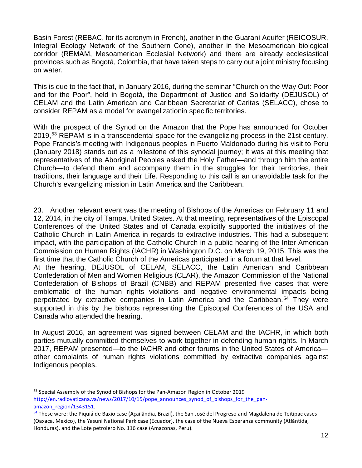Basin Forest (REBAC, for its acronym in French), another in the Guaraní Aquifer (REICOSUR, Integral Ecology Network of the Southern Cone), another in the Mesoamerican biological corridor (REMAM, Mesoamerican Ecclesial Network) and there are already ecclesiastical provinces such as Bogotá, Colombia, that have taken steps to carry out a joint ministry focusing on water.

This is due to the fact that, in January 2016, during the seminar "Church on the Way Out: Poor and for the Poor", held in Bogotá, the Department of Justice and Solidarity (DEJUSOL) of CELAM and the Latin American and Caribbean Secretariat of Caritas (SELACC), chose to consider REPAM as a model for evangelizationin specific territories.

With the prospect of the Synod on the Amazon that the Pope has announced for October 2019,<sup>[53](#page-12-0)</sup> REPAM is in a transcendental space for the evangelizing process in the 21st century. Pope Francis's meeting with Indigenous peoples in Puerto Maldonado during his visit to Peru (January 2018) stands out as a milestone of this synodal journey; it was at this meeting that representatives of the Aboriginal Peoples asked the Holy Father—and through him the entire Church—to defend them and accompany them in the struggles for their territories, their traditions, their language and their Life. Responding to this call is an unavoidable task for the Church's evangelizing mission in Latin America and the Caribbean.

23. Another relevant event was the meeting of Bishops of the Americas on February 11 and 12, 2014, in the city of Tampa, United States. At that meeting, representatives of the Episcopal Conferences of the United States and of Canada explicitly supported the initiatives of the Catholic Church in Latin America in regards to extractive industries. This had a subsequent impact, with the participation of the Catholic Church in a public hearing of the Inter-American Commission on Human Rights (IACHR) in Washington D.C. on March 19, 2015. This was the first time that the Catholic Church of the Americas participated in a forum at that level.

At the hearing, DEJUSOL of CELAM, SELACC, the Latin American and Caribbean Confederation of Men and Women Religious (CLAR), the Amazon Commission of the National Confederation of Bishops of Brazil (CNBB) and REPAM presented five cases that were emblematic of the human rights violations and negative environmental impacts being perpetrated by extractive companies in Latin America and the Caribbean.<sup>[54](#page-12-1)</sup> They were supported in this by the bishops representing the Episcopal Conferences of the USA and Canada who attended the hearing.

In August 2016, an agreement was signed between CELAM and the IACHR, in which both parties mutually committed themselves to work together in defending human rights. In March 2017, REPAM presented—to the IACHR and other forums in the United States of America other complaints of human rights violations committed by extractive companies against Indigenous peoples.

<span id="page-12-0"></span><sup>&</sup>lt;sup>53</sup> Special Assembly of the Synod of Bishops for the Pan-Amazon Region in October 2019 [http://en.radiovaticana.va/news/2017/10/15/pope\\_announces\\_synod\\_of\\_bishops\\_for\\_the\\_pan](http://en.radiovaticana.va/news/2017/10/15/pope_announces_synod_of_bishops_for_the_pan-amazon_region/1343151)amazon region/1343151.<br><sup>54</sup> These were: the Piquiá de Baxio case (Açailândia, Brazil), the San José del Progreso and Magdalena de Teitipac cases

<span id="page-12-1"></span><sup>(</sup>Oaxaca, Mexico), the Yasuní National Park case (Ecuador), the case of the Nueva Esperanza community (Atlántida, Honduras), and the Lote petrolero No. 116 case (Amazonas, Peru).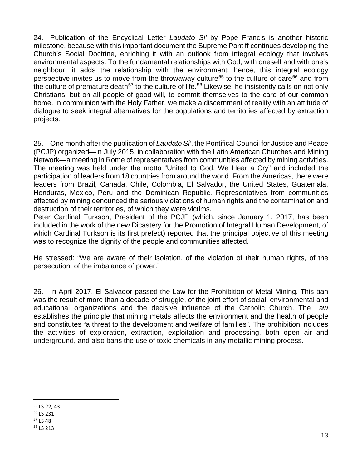24. Publication of the Encyclical Letter *Laudato Si'* by Pope Francis is another historic milestone, because with this important document the Supreme Pontiff continues developing the Church's Social Doctrine, enriching it with an outlook from integral ecology that involves environmental aspects. To the fundamental relationships with God, with oneself and with one's neighbour, it adds the relationship with the environment; hence, this integral ecology perspective invites us to move from the throwaway culture<sup>[55](#page-13-0)</sup> to the culture of care<sup>[56](#page-13-1)</sup> and from the culture of premature death<sup>[57](#page-13-2)</sup> to the culture of life.<sup>[58](#page-13-3)</sup> Likewise, he insistently calls on not only Christians, but on all people of good will, to commit themselves to the care of our common home. In communion with the Holy Father, we make a discernment of reality with an attitude of dialogue to seek integral alternatives for the populations and territories affected by extraction projects.

25. One month after the publication of *Laudato Si'*, the Pontifical Council for Justice and Peace (PCJP) organized—in July 2015, in collaboration with the Latin American Churches and Mining Network—a meeting in Rome of representatives from communities affected by mining activities. The meeting was held under the motto "United to God, We Hear a Cry" and included the participation of leaders from 18 countries from around the world. From the Americas, there were leaders from Brazil, Canada, Chile, Colombia, El Salvador, the United States, Guatemala, Honduras, Mexico, Peru and the Dominican Republic. Representatives from communities affected by mining denounced the serious violations of human rights and the contamination and destruction of their territories, of which they were victims.

Peter Cardinal Turkson, President of the PCJP (which, since January 1, 2017, has been included in the work of the new Dicastery for the Promotion of Integral Human Development, of which Cardinal Turkson is its first prefect) reported that the principal objective of this meeting was to recognize the dignity of the people and communities affected.

He stressed: "We are aware of their isolation, of the violation of their human rights, of the persecution, of the imbalance of power."

26. In April 2017, El Salvador passed the Law for the Prohibition of Metal Mining. This ban was the result of more than a decade of struggle, of the joint effort of social, environmental and educational organizations and the decisive influence of the Catholic Church. The Law establishes the principle that mining metals affects the environment and the health of people and constitutes "a threat to the development and welfare of families". The prohibition includes the activities of exploration, extraction, exploitation and processing, both open air and underground, and also bans the use of toxic chemicals in any metallic mining process.

<span id="page-13-0"></span> <sup>55</sup> LS 22, 43

<span id="page-13-1"></span><sup>56</sup> LS 231

<span id="page-13-2"></span><sup>&</sup>lt;sup>57</sup> LS 48

<span id="page-13-3"></span><sup>58</sup> LS 213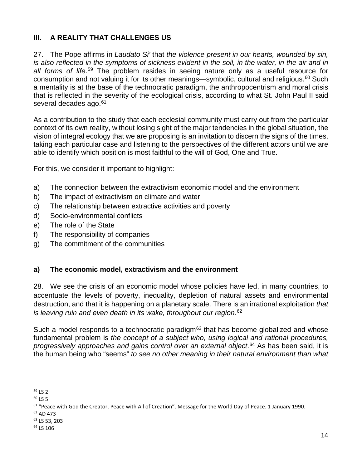# **III. A REALITY THAT CHALLENGES US**

27. The Pope affirms in *Laudato Si'* that *the violence present in our hearts, wounded by sin, is also reflected in the symptoms of sickness evident in the soil, in the water, in the air and in all forms of life*. [59](#page-14-0) The problem resides in seeing nature only as a useful resource for consumption and not valuing it for its other meanings—symbolic, cultural and religious.<sup>[60](#page-14-1)</sup> Such a mentality is at the base of the technocratic paradigm, the anthropocentrism and moral crisis that is reflected in the severity of the ecological crisis, according to what St. John Paul II said several decades ago.<sup>[61](#page-14-2)</sup>

As a contribution to the study that each ecclesial community must carry out from the particular context of its own reality, without losing sight of the major tendencies in the global situation, the vision of integral ecology that we are proposing is an invitation to discern the signs of the times, taking each particular case and listening to the perspectives of the different actors until we are able to identify which position is most faithful to the will of God, One and True.

For this, we consider it important to highlight:

- a) The connection between the extractivism economic model and the environment
- b) The impact of extractivism on climate and water
- c) The relationship between extractive activities and poverty
- d) Socio-environmental conflicts
- e) The role of the State
- f) The responsibility of companies
- g) The commitment of the communities

## **a) The economic model, extractivism and the environment**

28. We see the crisis of an economic model whose policies have led, in many countries, to accentuate the levels of poverty, inequality, depletion of natural assets and environmental destruction, and that it is happening on a planetary scale. There is an irrational exploitation *that is leaving ruin and even death in its wake, throughout our region*. [62](#page-14-3)

Such a model responds to a technocratic paradigm $63$  that has become globalized and whose fundamental problem is *the concept of a subject who, using logical and rational procedures, progressively approaches and gains control over an external object*. [64](#page-14-5) As has been said, it is the human being who "seems" *to see no other meaning in their natural environment than what*

<span id="page-14-0"></span> <sup>59</sup> LS 2

<span id="page-14-1"></span> $60$  LS 5

<span id="page-14-2"></span><sup>&</sup>lt;sup>61</sup> "Peace with God the Creator, Peace with All of Creation". Message for the World Day of Peace. 1 January 1990.

<span id="page-14-3"></span><sup>62</sup> AD 473

<span id="page-14-4"></span><sup>63</sup> LS 53, 203

<span id="page-14-5"></span><sup>64</sup> LS 106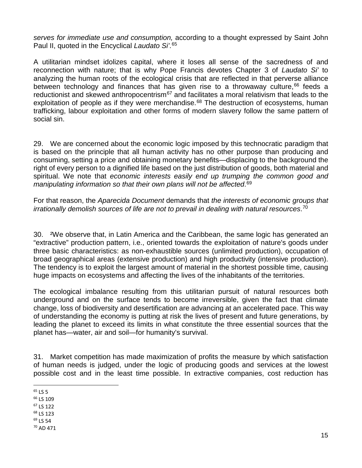*serves for immediate use and consumption,* according to a thought expressed by Saint John Paul II, quoted in the Encyclical *Laudato Si'*. [65](#page-15-0)

A utilitarian mindset idolizes capital, where it loses all sense of the sacredness of and reconnection with nature; that is why Pope Francis devotes Chapter 3 of *Laudato Si'* to analyzing the human roots of the ecological crisis that are reflected in that perverse alliance between technology and finances that has given rise to a throwaway culture,  $66$  feeds a reductionist and skewed anthropocentrism $67$  and facilitates a moral relativism that leads to the exploitation of people as if they were merchandise.<sup>[68](#page-15-3)</sup> The destruction of ecosystems, human trafficking, labour exploitation and other forms of modern slavery follow the same pattern of social sin.

29. We are concerned about the economic logic imposed by this technocratic paradigm that is based on the principle that all human activity has no other purpose than producing and consuming, setting a price and obtaining monetary benefits—displacing to the background the right of every person to a dignified life based on the just distribution of goods, both material and spiritual. We note that *economic interests easily end up trumping the common good and manipulating information so that their own plans will not be affected*. [69](#page-15-4)

For that reason, the *Aparecida Document* demands that *the interests of economic groups that irrationally demolish sources of life are not to prevail in dealing with natural resources*. [70](#page-15-5)

30. ²We observe that, in Latin America and the Caribbean, the same logic has generated an "extractive" production pattern, i.e., oriented towards the exploitation of nature's goods under three basic characteristics: as non-exhaustible sources (unlimited production), occupation of broad geographical areas (extensive production) and high productivity (intensive production). The tendency is to exploit the largest amount of material in the shortest possible time, causing huge impacts on ecosystems and affecting the lives of the inhabitants of the territories.

The ecological imbalance resulting from this utilitarian pursuit of natural resources both underground and on the surface tends to become irreversible, given the fact that climate change, loss of biodiversity and desertification are advancing at an accelerated pace. This way of understanding the economy is putting at risk the lives of present and future generations, by leading the planet to exceed its limits in what constitute the three essential sources that the planet has—water, air and soil—for humanity's survival.

31. Market competition has made maximization of profits the measure by which satisfaction of human needs is judged, under the logic of producing goods and services at the lowest possible cost and in the least time possible. In extractive companies, cost reduction has

<span id="page-15-1"></span><sup>66</sup> LS 109

<span id="page-15-2"></span><sup>67</sup> LS 122

<span id="page-15-5"></span> $70$  AD 471

<span id="page-15-0"></span> $65$  LS 5

<span id="page-15-3"></span><sup>68</sup> LS 123

<span id="page-15-4"></span><sup>69</sup> LS 54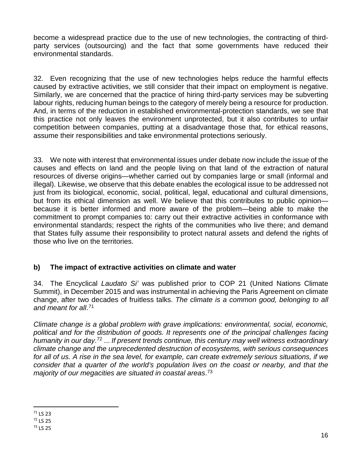become a widespread practice due to the use of new technologies, the contracting of thirdparty services (outsourcing) and the fact that some governments have reduced their environmental standards.

32. Even recognizing that the use of new technologies helps reduce the harmful effects caused by extractive activities, we still consider that their impact on employment is negative. Similarly, we are concerned that the practice of hiring third-party services may be subverting labour rights, reducing human beings to the category of merely being a resource for production. And, in terms of the reduction in established environmental-protection standards, we see that this practice not only leaves the environment unprotected, but it also contributes to unfair competition between companies, putting at a disadvantage those that, for ethical reasons, assume their responsibilities and take environmental protections seriously.

33. We note with interest that environmental issues under debate now include the issue of the causes and effects on land and the people living on that land of the extraction of natural resources of diverse origins—whether carried out by companies large or small (informal and illegal). Likewise, we observe that this debate enables the ecological issue to be addressed not just from its biological, economic, social, political, legal, educational and cultural dimensions, but from its ethical dimension as well. We believe that this contributes to public opinion because it is better informed and more aware of the problem—being able to make the commitment to prompt companies to: carry out their extractive activities in conformance with environmental standards; respect the rights of the communities who live there; and demand that States fully assume their responsibility to protect natural assets and defend the rights of those who live on the territories.

# **b) The impact of extractive activities on climate and water**

34. The Encyclical *Laudato Si'* was published prior to COP 21 (United Nations Climate Summit), in December 2015 and was instrumental in achieving the Paris Agreement on climate change, after two decades of fruitless talks. *The climate is a common good, belonging to all and meant for all*. [71](#page-16-0)

*Climate change is a global problem with grave implications: environmental, social, economic, political and for the distribution of goods. It represents one of the principal challenges facing humanity in our day*. [72](#page-16-1) ... *If present trends continue, this century may well witness extraordinary climate change and the unprecedented destruction of ecosystems, with serious consequences for all of us. A rise in the sea level, for example, can create extremely serious situations, if we consider that a quarter of the world's population lives on the coast or nearby, and that the majority of our megacities are situated in coastal areas*. [73](#page-16-2)

<span id="page-16-0"></span> <sup>71</sup> LS 23

<span id="page-16-1"></span><sup>72</sup> LS 25

<span id="page-16-2"></span> $73$  LS 25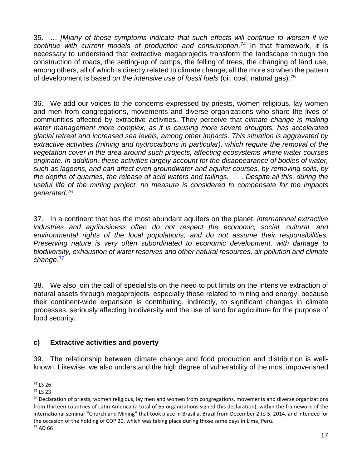35. … *[M]any of these symptoms indicate that such effects will continue to worsen if we continue with current models of production and consumption*. [74](#page-17-0) In that framework, it is necessary to understand that extractive megaprojects transform the landscape through the construction of roads, the setting-up of camps, the felling of trees, the changing of land use, among others, all of which is directly related to climate change, all the more so when the pattern of development is based *on the intensive use of fossil fuels* (oil, coal, natural gas).[75](#page-17-1)

36. We add our voices to the concerns expressed by priests, women religious, lay women and men from congregations, movements and diverse organizations who share the lives of communities affected by extractive activities. They perceive that *climate change is making water management more complex, as it is causing more severe droughts, has accelerated glacial retreat and increased sea levels, among other impacts. This situation is aggravated by*  extractive activities (mining and hydrocarbons in particular), which require the removal of the *vegetation cover in the area around such projects, affecting ecosystems where water courses originate. In addition, these activities largely account for the disappearance of bodies of water, such as lagoons, and can affect even groundwater and aquifer courses, by removing soils, by the depths of quarries, the release of acid waters and tailings. . . . Despite all this, during the useful life of the mining project, no measure is considered to compensate for the impacts generated*. [76](#page-17-2)

37. In a continent that has the most abundant aquifers on the planet, *international extractive*  industries and agribusiness often do not respect the economic, social, cultural, and *environmental rights of the local populations, and do not assume their responsibilities. Preserving nature is very often subordinated to economic development, with damage to biodiversity, exhaustion of water reserves and other natural resources, air pollution and climate change*. [77](#page-17-3)

38. We also join the call of specialists on the need to put limits on the intensive extraction of natural assets through megaprojects, especially those related to mining and energy, because their continent-wide expansion is contributing, indirectly, to significant changes in climate processes, seriously affecting biodiversity and the use of land for agriculture for the purpose of food security.

# **c) Extractive activities and poverty**

39. The relationship between climate change and food production and distribution is wellknown. Likewise, we also understand the high degree of vulnerability of the most impoverished

<span id="page-17-0"></span> <sup>74</sup> LS 26

<span id="page-17-1"></span><sup>75</sup> LS 23

<span id="page-17-3"></span><span id="page-17-2"></span> $76$  Declaration of priests, women religious, lay men and women from congregations, movements and diverse organizations from thirteen countries of Latin America (a total of 65 organizations signed this declaration), within the framework of the international seminar "Church and Mining" that took place in Brasilia, Brazil from December 2 to 5, 2014, and intended for the occasion of the holding of COP 20, which was taking place during those same days in Lima, Peru. <sup>77</sup> AD 66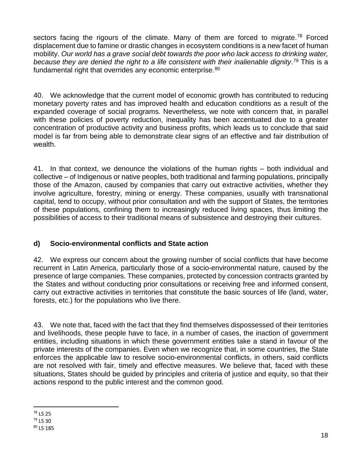sectors facing the rigours of the climate. Many of them are forced to migrate.<sup>[78](#page-18-0)</sup> Forced displacement due to famine or drastic changes in ecosystem conditions is a new facet of human mobility. *Our world has a grave social debt towards the poor who lack access to drinking water, because they are denied the right to a life consistent with their inalienable dignity*. [79](#page-18-1) This is a fundamental right that overrides any economic enterprise.<sup>[80](#page-18-2)</sup>

40. We acknowledge that the current model of economic growth has contributed to reducing monetary poverty rates and has improved health and education conditions as a result of the expanded coverage of social programs. Nevertheless, we note with concern that, in parallel with these policies of poverty reduction, inequality has been accentuated due to a greater concentration of productive activity and business profits, which leads us to conclude that said model is far from being able to demonstrate clear signs of an effective and fair distribution of wealth.

41. In that context, we denounce the violations of the human rights – both individual and collective – of Indigenous or native peoples, both traditional and farming populations, principally those of the Amazon, caused by companies that carry out extractive activities, whether they involve agriculture, forestry, mining or energy. These companies, usually with transnational capital, tend to occupy, without prior consultation and with the support of States, the territories of these populations, confining them to increasingly reduced living spaces, thus limiting the possibilities of access to their traditional means of subsistence and destroying their cultures.

# **d) Socio-environmental conflicts and State action**

42. We express our concern about the growing number of social conflicts that have become recurrent in Latin America, particularly those of a socio-environmental nature, caused by the presence of large companies. These companies, protected by concession contracts granted by the States and without conducting prior consultations or receiving free and informed consent, carry out extractive activities in territories that constitute the basic sources of life (land, water, forests, etc.) for the populations who live there.

43. We note that, faced with the fact that they find themselves dispossessed of their territories and livelihoods, these people have to face, in a number of cases, the inaction of government entities, including situations in which these government entities take a stand in favour of the private interests of the companies. Even when we recognize that, in some countries, the State enforces the applicable law to resolve socio-environmental conflicts, in others, said conflicts are not resolved with fair, timely and effective measures. We believe that, faced with these situations, States should be guided by principles and criteria of justice and equity, so that their actions respond to the public interest and the common good.

<span id="page-18-0"></span> <sup>78</sup> LS 25

<span id="page-18-1"></span> $79$  LS 30

<span id="page-18-2"></span><sup>80</sup> LS 185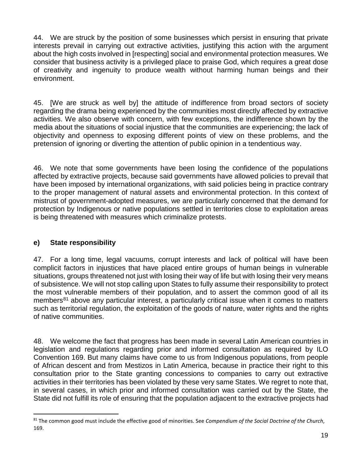44. We are struck by the position of some businesses which persist in ensuring that private interests prevail in carrying out extractive activities, justifying this action with the argument about the high costs involved in [respecting] social and environmental protection measures. We consider that business activity is a privileged place to praise God, which requires a great dose of creativity and ingenuity to produce wealth without harming human beings and their environment.

45. [We are struck as well by] the attitude of indifference from broad sectors of society regarding the drama being experienced by the communities most directly affected by extractive activities. We also observe with concern, with few exceptions, the indifference shown by the media about the situations of social injustice that the communities are experiencing; the lack of objectivity and openness to exposing different points of view on these problems, and the pretension of ignoring or diverting the attention of public opinion in a tendentious way.

46. We note that some governments have been losing the confidence of the populations affected by extractive projects, because said governments have allowed policies to prevail that have been imposed by international organizations, with said policies being in practice contrary to the proper management of natural assets and environmental protection. In this context of mistrust of government-adopted measures, we are particularly concerned that the demand for protection by Indigenous or native populations settled in territories close to exploitation areas is being threatened with measures which criminalize protests.

# **e) State responsibility**

47. For a long time, legal vacuums, corrupt interests and lack of political will have been complicit factors in injustices that have placed entire groups of human beings in vulnerable situations, groups threatened not just with losing their way of life but with losing their very means of subsistence. We will not stop calling upon States to fully assume their responsibility to protect the most vulnerable members of their population, and to assert the common good of all its members<sup>[81](#page-19-0)</sup> above any particular interest, a particularly critical issue when it comes to matters such as territorial regulation, the exploitation of the goods of nature, water rights and the rights of native communities.

48. We welcome the fact that progress has been made in several Latin American countries in legislation and regulations regarding prior and informed consultation as required by ILO Convention 169. But many claims have come to us from Indigenous populations, from people of African descent and from Mestizos in Latin America, because in practice their right to this consultation prior to the State granting concessions to companies to carry out extractive activities in their territories has been violated by these very same States. We regret to note that, in several cases, in which prior and informed consultation was carried out by the State, the State did not fulfill its role of ensuring that the population adjacent to the extractive projects had

<span id="page-19-0"></span> <sup>81</sup> The common good must include the effective good of minorities. See *Compendium of the Social Doctrine of the Church*, 169.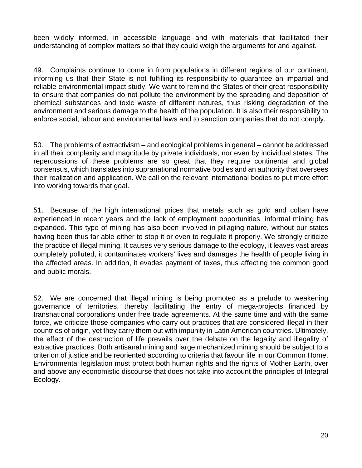been widely informed, in accessible language and with materials that facilitated their understanding of complex matters so that they could weigh the arguments for and against.

49. Complaints continue to come in from populations in different regions of our continent, informing us that their State is not fulfilling its responsibility to guarantee an impartial and reliable environmental impact study. We want to remind the States of their great responsibility to ensure that companies do not pollute the environment by the spreading and deposition of chemical substances and toxic waste of different natures, thus risking degradation of the environment and serious damage to the health of the population. It is also their responsibility to enforce social, labour and environmental laws and to sanction companies that do not comply.

50. The problems of extractivism – and ecological problems in general – cannot be addressed in all their complexity and magnitude by private individuals, nor even by individual states. The repercussions of these problems are so great that they require continental and global consensus, which translates into supranational normative bodies and an authority that oversees their realization and application. We call on the relevant international bodies to put more effort into working towards that goal.

51. Because of the high international prices that metals such as gold and coltan have experienced in recent years and the lack of employment opportunities, informal mining has expanded. This type of mining has also been involved in pillaging nature, without our states having been thus far able either to stop it or even to regulate it properly. We strongly criticize the practice of illegal mining. It causes very serious damage to the ecology, it leaves vast areas completely polluted, it contaminates workers' lives and damages the health of people living in the affected areas. In addition, it evades payment of taxes, thus affecting the common good and public morals.

52. We are concerned that illegal mining is being promoted as a prelude to weakening governance of territories, thereby facilitating the entry of mega-projects financed by transnational corporations under free trade agreements. At the same time and with the same force, we criticize those companies who carry out practices that are considered illegal in their countries of origin, yet they carry them out with impunity in Latin American countries. Ultimately, the effect of the destruction of life prevails over the debate on the legality and illegality of extractive practices. Both artisanal mining and large mechanized mining should be subject to a criterion of justice and be reoriented according to criteria that favour life in our Common Home. Environmental legislation must protect both human rights and the rights of Mother Earth, over and above any economistic discourse that does not take into account the principles of Integral Ecology.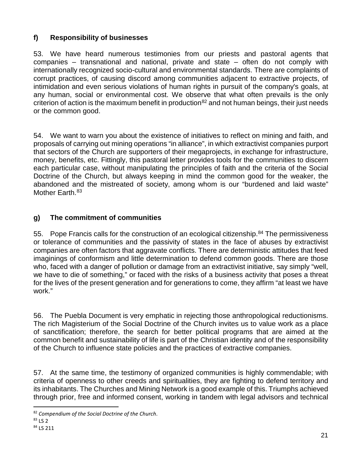# **f) Responsibility of businesses**

53. We have heard numerous testimonies from our priests and pastoral agents that companies – transnational and national, private and state – often do not comply with internationally recognized socio-cultural and environmental standards. There are complaints of corrupt practices, of causing discord among communities adjacent to extractive projects, of intimidation and even serious violations of human rights in pursuit of the company's goals, at any human, social or environmental cost. We observe that what often prevails is the only criterion of action is the maximum benefit in production<sup>[82](#page-21-0)</sup> and not human beings, their just needs or the common good.

54. We want to warn you about the existence of initiatives to reflect on mining and faith, and proposals of carrying out mining operations "in alliance", in which extractivist companies purport that sectors of the Church are supporters of their megaprojects, in exchange for infrastructure, money, benefits, etc. Fittingly, this pastoral letter provides tools for the communities to discern each particular case, without manipulating the principles of faith and the criteria of the Social Doctrine of the Church, but always keeping in mind the common good for the weaker, the abandoned and the mistreated of society, among whom is our "burdened and laid waste" Mother Earth.<sup>[83](#page-21-1)</sup>

# **g) The commitment of communities**

55. Pope Francis calls for the construction of an ecological citizenship.<sup>[84](#page-21-2)</sup> The permissiveness or tolerance of communities and the passivity of states in the face of abuses by extractivist companies are often factors that aggravate conflicts. There are deterministic attitudes that feed imaginings of conformism and little determination to defend common goods. There are those who, faced with a danger of pollution or damage from an extractivist initiative, say simply "well, we have to die of something," or faced with the risks of a business activity that poses a threat for the lives of the present generation and for generations to come, they affirm "at least we have work."

56. The Puebla Document is very emphatic in rejecting those anthropological reductionisms. The rich Magisterium of the Social Doctrine of the Church invites us to value work as a place of sanctification; therefore, the search for better political programs that are aimed at the common benefit and sustainability of life is part of the Christian identity and of the responsibility of the Church to influence state policies and the practices of extractive companies.

57. At the same time, the testimony of organized communities is highly commendable; with criteria of openness to other creeds and spiritualities, they are fighting to defend territory and its inhabitants. The Churches and Mining Network is a good example of this. Triumphs achieved through prior, free and informed consent, working in tandem with legal advisors and technical

<span id="page-21-0"></span> <sup>82</sup> *Compendium of the Social Doctrine of the Church*.

<span id="page-21-1"></span><sup>83</sup> LS 2

<span id="page-21-2"></span><sup>84</sup> LS 211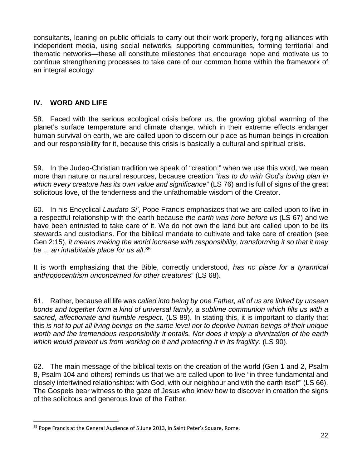consultants, leaning on public officials to carry out their work properly, forging alliances with independent media, using social networks, supporting communities, forming territorial and thematic networks—these all constitute milestones that encourage hope and motivate us to continue strengthening processes to take care of our common home within the framework of an integral ecology.

## **IV. WORD AND LIFE**

58. Faced with the serious ecological crisis before us, the growing global warming of the planet's surface temperature and climate change, which in their extreme effects endanger human survival on earth, we are called upon to discern our place as human beings in creation and our responsibility for it, because this crisis is basically a cultural and spiritual crisis.

59. In the Judeo-Christian tradition we speak of "creation;" when we use this word, we mean more than nature or natural resources, because creation "*has to do with God's loving plan in which every creature has its own value and significance*" (LS 76) and is full of signs of the great solicitous love, of the tenderness and the unfathomable wisdom of the Creator.

60. In his Encyclical *Laudato Si'*, Pope Francis emphasizes that we are called upon to live in a respectful relationship with the earth because *the earth was here before us* (LS 67) and we have been entrusted to take care of it. We do not own the land but are called upon to be its stewards and custodians. For the biblical mandate to cultivate and take care of creation (see Gen 2:15), *it means making the world increase with responsibility, transforming it so that it may be ... an inhabitable place for us all*. [85](#page-22-0)

It is worth emphasizing that the Bible, correctly understood, *has no place for a tyrannical anthropocentrism unconcerned for other creatures*" (LS 68).

61. Rather, because all life was *called into being by one Father, all of us are linked by unseen bonds and together form a kind of universal family, a sublime communion which fills us with a sacred, affectionate and humble respect*. (LS 89). In stating this, it is important to clarify that this *is not to put all living beings on the same level nor to deprive human beings of their unique worth and the tremendous responsibility it entails. Nor does it imply a divinization of the earth*  which would prevent us from working on it and protecting it in its fragility. (LS 90).

62. The main message of the biblical texts on the creation of the world (Gen 1 and 2, Psalm 8, Psalm 104 and others) reminds us that we are called upon to live "in three fundamental and closely intertwined relationships: with God, with our neighbour and with the earth itself" (LS 66). The Gospels bear witness to the gaze of Jesus who knew how to discover in creation the signs of the solicitous and generous love of the Father.

<span id="page-22-0"></span><sup>85</sup> Pope Francis at the General Audience of 5 June 2013, in Saint Peter's Square, Rome.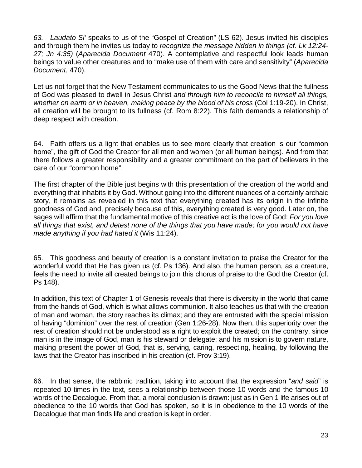*63. Laudato Si'* speaks to us of the "Gospel of Creation" (LS 62). Jesus invited his disciples and through them he invites us today to *recognize the message hidden in things (cf. Lk 12:24- 27; Jn 4:35)* (*Aparecida Document* 470). A contemplative and respectful look leads human beings to value other creatures and to "make use of them with care and sensitivity" (*Aparecida Document*, 470).

Let us not forget that the New Testament communicates to us the Good News that the fullness of God was pleased to dwell in Jesus Christ *and through him to reconcile to himself all things, whether on earth or in heaven, making peace by the blood of his cross* (Col 1:19-20). In Christ, all creation will be brought to its fullness (cf. Rom 8:22). This faith demands a relationship of deep respect with creation.

64. Faith offers us a light that enables us to see more clearly that creation is our "common home", the gift of God the Creator for all men and women (or all human beings). And from that there follows a greater responsibility and a greater commitment on the part of believers in the care of our "common home".

The first chapter of the Bible just begins with this presentation of the creation of the world and everything that inhabits it by God. Without going into the different nuances of a certainly archaic story, it remains as revealed in this text that everything created has its origin in the infinite goodness of God and, precisely because of this, everything created is very good. Later on, the sages will affirm that the fundamental motive of this creative act is the love of God: *For you love all things that exist, and detest none of the things that you have made; for you would not have made anything if you had hated it* (Wis 11:24).

65. This goodness and beauty of creation is a constant invitation to praise the Creator for the wonderful world that He has given us (cf. Ps 136). And also, the human person, as a creature, feels the need to invite all created beings to join this chorus of praise to the God the Creator (cf. Ps 148).

In addition, this text of Chapter 1 of Genesis reveals that there is diversity in the world that came from the hands of God, which is what allows communion. It also teaches us that with the creation of man and woman, the story reaches its climax; and they are entrusted with the special mission of having "dominion" over the rest of creation (Gen 1:26-28). Now then, this superiority over the rest of creation should not be understood as a right to exploit the created; on the contrary, since man is in the image of God, man is his steward or delegate; and his mission is to govern nature, making present the power of God, that is, serving, caring, respecting, healing, by following the laws that the Creator has inscribed in his creation (cf. Prov 3:19).

66. In that sense, the rabbinic tradition, taking into account that the expression "*and said*" is repeated 10 times in the text, sees a relationship between those 10 words and the famous 10 words of the Decalogue. From that, a moral conclusion is drawn: just as in Gen 1 life arises out of obedience to the 10 words that God has spoken, so it is in obedience to the 10 words of the Decalogue that man finds life and creation is kept in order.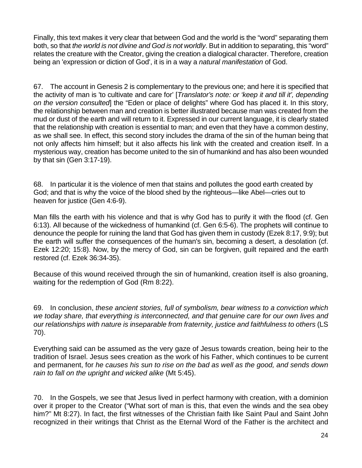Finally, this text makes it very clear that between God and the world is the "word" separating them both, so that *the world is not divine and God is not worldly*. But in addition to separating, this "word" relates the creature with the Creator, giving the creation a dialogical character. Therefore, creation being an 'expression or diction of God', it is in a way a *natural manifestation* of God.

67. The account in Genesis 2 is complementary to the previous one; and here it is specified that the activity of man is 'to cultivate and care for' [*Translator's note: or 'keep it and till it', depending on the version consulted*] the "Eden or place of delights" where God has placed it. In this story, the relationship between man and creation is better illustrated because man was created from the mud or dust of the earth and will return to it. Expressed in our current language, it is clearly stated that the relationship with creation is essential to man; and even that they have a common destiny, as we shall see. In effect, this second story includes the drama of the sin of the human being that not only affects him himself; but it also affects his link with the created and creation itself. In a mysterious way, creation has become united to the sin of humankind and has also been wounded by that sin (Gen 3:17-19).

68. In particular it is the violence of men that stains and pollutes the good earth created by God; and that is why the voice of the blood shed by the righteous—like Abel—cries out to heaven for justice (Gen 4:6-9).

Man fills the earth with his violence and that is why God has to purify it with the flood (cf. Gen 6:13). All because of the wickedness of humankind (cf. Gen 6:5-6). The prophets will continue to denounce the people for ruining the land that God has given them in custody (Ezek 8:17, 9:9); but the earth will suffer the consequences of the human's sin, becoming a desert, a desolation (cf. Ezek 12:20; 15:8). Now, by the mercy of God, sin can be forgiven, guilt repaired and the earth restored (cf. Ezek 36:34-35).

Because of this wound received through the sin of humankind, creation itself is also groaning, waiting for the redemption of God (Rm 8:22).

69. In conclusion, *these ancient stories, full of symbolism, bear witness to a conviction which we today share, that everything is interconnected, and that genuine care for our own lives and our relationships with nature is inseparable from fraternity, justice and faithfulness to others* (LS 70).

Everything said can be assumed as the very gaze of Jesus towards creation, being heir to the tradition of Israel. Jesus sees creation as the work of his Father, which continues to be current and permanent, for *he causes his sun to rise on the bad as well as the good, and sends down rain to fall on the upright and wicked alike* (Mt 5:45).

70. In the Gospels, we see that Jesus lived in perfect harmony with creation, with a dominion over it proper to the Creator ("What sort of man is this, that even the winds and the sea obey him?" Mt 8:27). In fact, the first witnesses of the Christian faith like Saint Paul and Saint John recognized in their writings that Christ as the Eternal Word of the Father is the architect and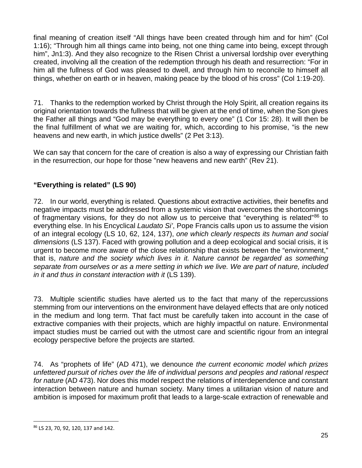final meaning of creation itself "All things have been created through him and for him" (Col 1:16); "Through him all things came into being, not one thing came into being, except through him", Jn1:3). And they also recognize to the Risen Christ a universal lordship over everything created, involving all the creation of the redemption through his death and resurrection: "For in him all the fullness of God was pleased to dwell, and through him to reconcile to himself all things, whether on earth or in heaven, making peace by the blood of his cross" (Col 1:19-20).

71. Thanks to the redemption worked by Christ through the Holy Spirit, all creation regains its original orientation towards the fullness that will be given at the end of time, when the Son gives the Father all things and "God may be everything to every one" (1 Cor 15: 28). It will then be the final fulfillment of what we are waiting for, which, according to his promise, "is the new heavens and new earth, in which justice dwells" (2 Pet 3:13).

We can say that concern for the care of creation is also a way of expressing our Christian faith in the resurrection, our hope for those "new heavens and new earth" (Rev 21).

# **"Everything is related" (LS 90)**

72. In our world, everything is related. Questions about extractive activities, their benefits and negative impacts must be addressed from a systemic vision that overcomes the shortcomings of fragmentary visions, for they do not allow us to perceive that "everything is related"<sup>86</sup> to everything else. In his Encyclical *Laudato Si'*, Pope Francis calls upon us to assume the vision of an integral ecology (LS 10, 62, 124, 137), *one which clearly respects its human and social dimensions* (LS 137). Faced with growing pollution and a deep ecological and social crisis, it is urgent to become more aware of the close relationship that exists between the "environment," that is, *nature and the society which lives in it. Nature cannot be regarded as something separate from ourselves or as a mere setting in which we live. We are part of nature, included in it and thus in constant interaction with it* (LS 139).

73. Multiple scientific studies have alerted us to the fact that many of the repercussions stemming from our interventions on the environment have delayed effects that are only noticed in the medium and long term. That fact must be carefully taken into account in the case of extractive companies with their projects, which are highly impactful on nature. Environmental impact studies must be carried out with the utmost care and scientific rigour from an integral ecology perspective before the projects are started.

74. As "prophets of life" (AD 471), we denounce *the current economic model which prizes unfettered pursuit of riches over the life of individual persons and peoples and rational respect for nature* (AD 473). Nor does this model respect the relations of interdependence and constant interaction between nature and human society. Many times a utilitarian vision of nature and ambition is imposed for maximum profit that leads to a large-scale extraction of renewable and

<span id="page-25-0"></span> <sup>86</sup> LS 23, 70, 92, 120, 137 and 142.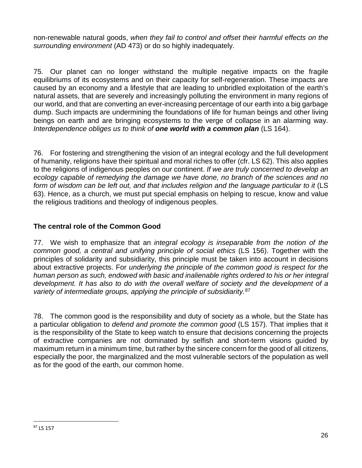non-renewable natural goods, *when they fail to control and offset their harmful effects on the surrounding environment* (AD 473) or do so highly inadequately.

75. Our planet can no longer withstand the multiple negative impacts on the fragile equilibriums of its ecosystems and on their capacity for self-regeneration. These impacts are caused by an economy and a lifestyle that are leading to unbridled exploitation of the earth's natural assets, that are severely and increasingly polluting the environment in many regions of our world, and that are converting an ever-increasing percentage of our earth into a big garbage dump. Such impacts are undermining the foundations of life for human beings and other living beings on earth and are bringing ecosystems to the verge of collapse in an alarming way. *Interdependence obliges us to think of one world with a common plan* (LS 164).

76. For fostering and strengthening the vision of an integral ecology and the full development of humanity, religions have their spiritual and moral riches to offer (cfr. LS 62). This also applies to the religions of indigenous peoples on our continent. *If we are truly concerned to develop an ecology capable of remedying the damage we have done, no branch of the sciences and no*  form of wisdom can be left out, and that includes religion and the language particular to it (LS 63). Hence, as a church, we must put special emphasis on helping to rescue, know and value the religious traditions and theology of indigenous peoples.

# **The central role of the Common Good**

77. We wish to emphasize that an *integral ecology is inseparable from the notion of the common good, a central and unifying principle of social ethics* (LS 156). Together with the principles of solidarity and subsidiarity, this principle must be taken into account in decisions about extractive projects. For *underlying the principle of the common good is respect for the human person as such, endowed with basic and inalienable rights ordered to his or her integral*  development. It has also to do with the overall welfare of society and the development of a *variety of intermediate groups, applying the principle of subsidiarity.*[87](#page-26-0)

<span id="page-26-0"></span>78. The common good is the responsibility and duty of society as a whole, but the State has a particular obligation to *defend and promote the common good* (LS 157). That implies that it is the responsibility of the State to keep watch to ensure that decisions concerning the projects of extractive companies are not dominated by selfish and short-term visions guided by maximum return in a minimum time, but rather by the sincere concern for the good of all citizens, especially the poor, the marginalized and the most vulnerable sectors of the population as well as for the good of the earth, our common home.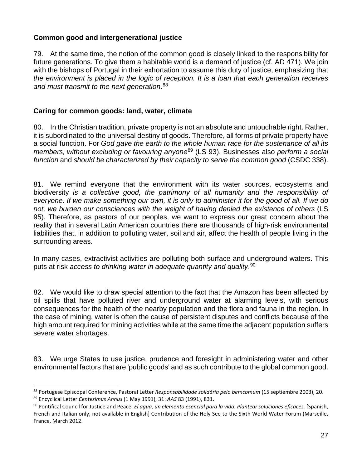## **Common good and intergenerational justice**

79. At the same time, the notion of the common good is closely linked to the responsibility for future generations. To give them a habitable world is a demand of justice (cf. AD 471). We join with the bishops of Portugal in their exhortation to assume this duty of justice, emphasizing that *the environment is placed in the logic of reception. It is a loan that each generation receives and must transmit to the next generation*. [88](#page-27-0)

### **Caring for common goods: land, water, climate**

80. In the Christian tradition, private property is not an absolute and untouchable right. Rather, it is subordinated to the universal destiny of goods. Therefore, all forms of private property have a social function. For *God gave the earth to the whole human race for the sustenance of all its members, without excluding or favouring anyone*[89](#page-27-1) (LS 93). Businesses also *perform a social function* and *should be characterized by their capacity to serve the common good* (CSDC 338).

81. We remind everyone that the environment with its water sources, ecosystems and biodiversity *is a collective good, the patrimony of all humanity and the responsibility of everyone. If we make something our own, it is only to administer it for the good of all. If we do not, we burden our consciences with the weight of having denied the existence of others* (LS 95). Therefore, as pastors of our peoples, we want to express our great concern about the reality that in several Latin American countries there are thousands of high-risk environmental liabilities that, in addition to polluting water, soil and air, affect the health of people living in the surrounding areas.

In many cases, extractivist activities are polluting both surface and underground waters. This puts at risk *access to drinking water in adequate quantity and quality*. [90](#page-27-2)

82. We would like to draw special attention to the fact that the Amazon has been affected by oil spills that have polluted river and underground water at alarming levels, with serious consequences for the health of the nearby population and the flora and fauna in the region. In the case of mining, water is often the cause of persistent disputes and conflicts because of the high amount required for mining activities while at the same time the adjacent population suffers severe water shortages.

83. We urge States to use justice, prudence and foresight in administering water and other environmental factors that are 'public goods' and as such contribute to the global common good.

<span id="page-27-1"></span><span id="page-27-0"></span> <sup>88</sup> Portugese Episcopal Conference, Pastoral Letter *Responsabilidade solidária pelo bemcomum* (15 septiembre 2003), 20. <sup>89</sup> Encyclical Letter *[Centesimus Annus](http://w2.vatican.va/content/john-paul-ii/es/encyclicals/documents/hf_jp-ii_enc_01051991_centesimus-annus.html)* (1 May 1991), 31: *AAS* 83 (1991), 831.

<span id="page-27-2"></span><sup>90</sup> Pontifical Council for Justice and Peace, *El agua, un elemento esencial para la vida. Plantear soluciones eficaces.* [Spanish, French and Italian only, not available in English] Contribution of the Holy See to the Sixth World Water Forum (Marseille, France, March 2012.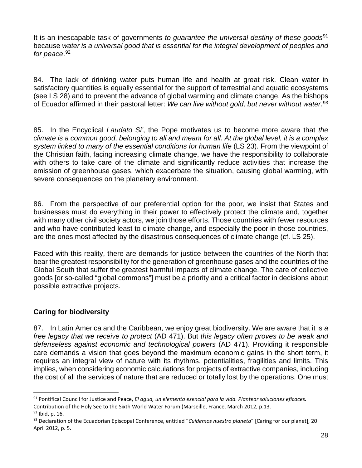It is an inescapable task of governments *to guarantee the universal destiny of these goods*[91](#page-28-0) because *water is a universal good that is essential for the integral development of peoples and for peace*. [92](#page-28-1)

84. The lack of drinking water puts human life and health at great risk. Clean water in satisfactory quantities is equally essential for the support of terrestrial and aquatic ecosystems (see LS 28) and to prevent the advance of global warming and climate change. As the bishops of Ecuador affirmed in their pastoral letter: *We can live without gold, but never without water*.[93](#page-28-2)

85. In the Encyclical *Laudato Si'*, the Pope motivates us to become more aware that *the climate is a common good, belonging to all and meant for all. At the global level, it is a complex system linked to many of the essential conditions for human life* (LS 23). From the viewpoint of the Christian faith, facing increasing climate change, we have the responsibility to collaborate with others to take care of the climate and significantly reduce activities that increase the emission of greenhouse gases, which exacerbate the situation, causing global warming, with severe consequences on the planetary environment.

86. From the perspective of our preferential option for the poor, we insist that States and businesses must do everything in their power to effectively protect the climate and, together with many other civil society actors, we join those efforts. Those countries with fewer resources and who have contributed least to climate change, and especially the poor in those countries, are the ones most affected by the disastrous consequences of climate change (cf. LS 25).

Faced with this reality, there are demands for justice between the countries of the North that bear the greatest responsibility for the generation of greenhouse gases and the countries of the Global South that suffer the greatest harmful impacts of climate change. The care of collective goods [or so-called "global commons"] must be a priority and a critical factor in decisions about possible extractive projects.

## **Caring for biodiversity**

87. In Latin America and the Caribbean, we enjoy great biodiversity. We are aware that it is *a free legacy that we receive to protect* (AD 471). But *this legacy often proves to be weak and defenseless against economic and technological powers* (AD 471). Providing it responsible care demands a vision that goes beyond the maximum economic gains in the short term, it requires an integral view of nature with its rhythms, potentialities, fragilities and limits. This implies, when considering economic calculations for projects of extractive companies, including the cost of all the services of nature that are reduced or totally lost by the operations. One must

<span id="page-28-0"></span> <sup>91</sup> Pontifical Council for Justice and Peace, *El agua, un elemento esencial para la vida. Plantear soluciones eficaces.* Contribution of the Holy See to the Sixth World Water Forum (Marseille, France, March 2012, p.13.  $92$  Ibid, p. 16.

<span id="page-28-2"></span><span id="page-28-1"></span><sup>93</sup> Declaration of the Ecuadorian Episcopal Conference, entitled "*Cuidemos nuestro planeta*" [Caring for our planet], 20 April 2012, p. 5.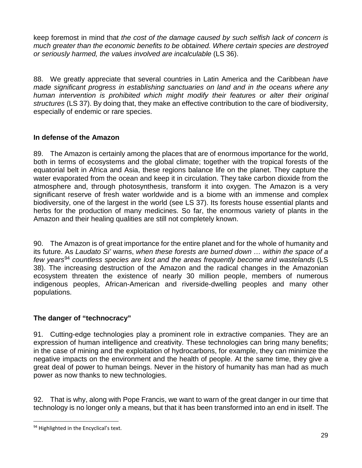keep foremost in mind that *the cost of the damage caused by such selfish lack of concern is much greater than the economic benefits to be obtained. Where certain species are destroyed or seriously harmed, the values involved are incalculable* (LS 36).

88. We greatly appreciate that several countries in Latin America and the Caribbean *have made significant progress in establishing sanctuaries on land and in the oceans where any human intervention is prohibited which might modify their features or alter their original structures* (LS 37). By doing that, they make an effective contribution to the care of biodiversity, especially of endemic or rare species.

## **In defense of the Amazon**

89. The Amazon is certainly among the places that are of enormous importance for the world, both in terms of ecosystems and the global climate; together with the tropical forests of the equatorial belt in Africa and Asia, these regions balance life on the planet. They capture the water evaporated from the ocean and keep it in circulation. They take carbon dioxide from the atmosphere and, through photosynthesis, transform it into oxygen. The Amazon is a very significant reserve of fresh water worldwide and is a biome with an immense and complex biodiversity, one of the largest in the world (see LS 37). Its forests house essential plants and herbs for the production of many medicines. So far, the enormous variety of plants in the Amazon and their healing qualities are still not completely known.

90. The Amazon is of great importance for the entire planet and for the whole of humanity and its future. As *Laudato Si'* warns, *when these forests are burned down … within the space of a few years*[94](#page-29-0) *countless species are lost and the areas frequently become arid wastelands* (LS 38). The increasing destruction of the Amazon and the radical changes in the Amazonian ecosystem threaten the existence of nearly 30 million people, members of numerous indigenous peoples, African-American and riverside-dwelling peoples and many other populations.

# **The danger of "technocracy"**

91. Cutting-edge technologies play a prominent role in extractive companies. They are an expression of human intelligence and creativity. These technologies can bring many benefits; in the case of mining and the exploitation of hydrocarbons, for example, they can minimize the negative impacts on the environment and the health of people. At the same time, they give a great deal of power to human beings. Never in the history of humanity has man had as much power as now thanks to new technologies.

92. That is why, along with Pope Francis, we want to warn of the great danger in our time that technology is no longer only a means, but that it has been transformed into an end in itself. The

<span id="page-29-0"></span><sup>94</sup> Highlighted in the Encyclical's text.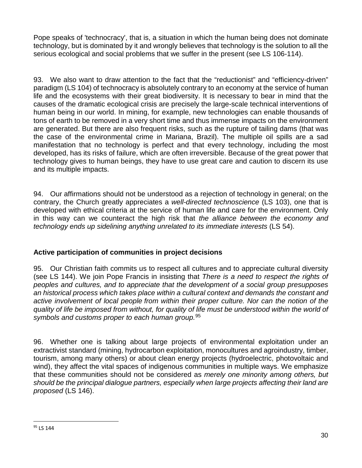Pope speaks of 'technocracy', that is, a situation in which the human being does not dominate technology, but is dominated by it and wrongly believes that technology is the solution to all the serious ecological and social problems that we suffer in the present (see LS 106-114).

93. We also want to draw attention to the fact that the "reductionist" and "efficiency-driven" paradigm (LS 104) of technocracy is absolutely contrary to an economy at the service of human life and the ecosystems with their great biodiversity. It is necessary to bear in mind that the causes of the dramatic ecological crisis are precisely the large-scale technical interventions of human being in our world. In mining, for example, new technologies can enable thousands of tons of earth to be removed in a very short time and thus immense impacts on the environment are generated. But there are also frequent risks, such as the rupture of tailing dams (that was the case of the environmental crime in Mariana, Brazil). The multiple oil spills are a sad manifestation that no technology is perfect and that every technology, including the most developed, has its risks of failure, which are often irreversible. Because of the great power that technology gives to human beings, they have to use great care and caution to discern its use and its multiple impacts.

94. Our affirmations should not be understood as a rejection of technology in general; on the contrary, the Church greatly appreciates a *well-directed technoscience* (LS 103), one that is developed with ethical criteria at the service of human life and care for the environment. Only in this way can we counteract the high risk that *the alliance between the economy and technology ends up sidelining anything unrelated to its immediate interests* (LS 54).

## **Active participation of communities in project decisions**

95. Our Christian faith commits us to respect all cultures and to appreciate cultural diversity (see LS 144). We join Pope Francis in insisting that *There is a need to respect the rights of peoples and cultures, and to appreciate that the development of a social group presupposes an historical process which takes place within a cultural context and demands the constant and active involvement of local people from within their proper culture. Nor can the notion of the quality of life be imposed from without, for quality of life must be understood within the world of symbols and customs proper to each human group.*[95](#page-30-0)

96. Whether one is talking about large projects of environmental exploitation under an extractivist standard (mining, hydrocarbon exploitation, monocultures and agroindustry, timber, tourism, among many others) or about clean energy projects (hydroelectric, photovoltaic and wind), they affect the vital spaces of indigenous communities in multiple ways. We emphasize that these communities should not be considered as *merely one minority among others, but should be the principal dialogue partners, especially when large projects affecting their land are proposed* (LS 146).

<span id="page-30-0"></span><sup>&</sup>lt;sup>95</sup> LS 144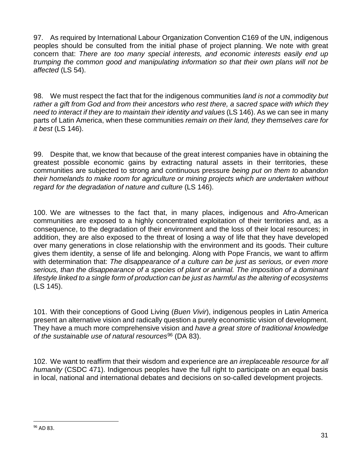97. As required by International Labour Organization Convention C169 of the UN, indigenous peoples should be consulted from the initial phase of project planning. We note with great concern that: *There are too many special interests, and economic interests easily end up trumping the common good and manipulating information so that their own plans will not be affected* (LS 54).

98. We must respect the fact that for the indigenous communities *land is not a commodity but rather a gift from God and from their ancestors who rest there, a sacred space with which they need to interact if they are to maintain their identity and values* (LS 146). As we can see in many parts of Latin America, when these communities *remain on their land, they themselves care for it best* (LS 146).

99. Despite that, we know that because of the great interest companies have in obtaining the greatest possible economic gains by extracting natural assets in their territories, these communities are subjected to strong and continuous pressure *being put on them to abandon their homelands to make room for agriculture or mining projects which are undertaken without regard for the degradation of nature and culture* (LS 146).

100. We are witnesses to the fact that, in many places, indigenous and Afro-American communities are exposed to a highly concentrated exploitation of their territories and, as a consequence, to the degradation of their environment and the loss of their local resources; in addition, they are also exposed to the threat of losing a way of life that they have developed over many generations in close relationship with the environment and its goods. Their culture gives them identity, a sense of life and belonging. Along with Pope Francis, we want to affirm with determination that: *The disappearance of a culture can be just as serious, or even more serious, than the disappearance of a species of plant or animal. The imposition of a dominant lifestyle linked to a single form of production can be just as harmful as the altering of ecosystems* (LS 145).

101. With their conceptions of Good Living (*Buen Vivir*), indigenous peoples in Latin America present an alternative vision and radically question a purely economistic vision of development. They have a much more comprehensive vision and *have a great store of traditional knowledge*  of the sustainable use of natural resources<sup>[96](#page-31-0)</sup> (DA 83).

102. We want to reaffirm that their wisdom and experience are *an irreplaceable resource for all humanity* (CSDC 471). Indigenous peoples have the full right to participate on an equal basis in local, national and international debates and decisions on so-called development projects.

<span id="page-31-0"></span> <sup>96</sup> AD 83.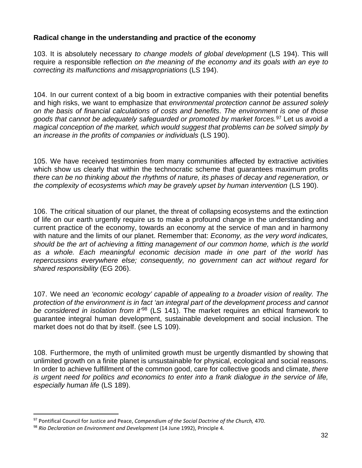### **Radical change in the understanding and practice of the economy**

103. It is absolutely necessary *to change models of global development* (LS 194). This will require a responsible reflection *on the meaning of the economy and its goals with an eye to correcting its malfunctions and misappropriations* (LS 194).

104. In our current context of a big boom in extractive companies with their potential benefits and high risks, we want to emphasize that *environmental protection cannot be assured solely on the basis of financial calculations of costs and benefits*. *The environment is one of those goods that cannot be adequately safeguarded or promoted by market forces.*[97](#page-32-0) Let us avoid *a magical conception of the market, which would suggest that problems can be solved simply by an increase in the profits of companies or individuals* (LS 190).

105. We have received testimonies from many communities affected by extractive activities which show us clearly that within the technocratic scheme that quarantees maximum profits *there can be no thinking about the rhythms of nature, its phases of decay and regeneration, or the complexity of ecosystems which may be gravely upset by human intervention* (LS 190).

106. The critical situation of our planet, the threat of collapsing ecosystems and the extinction of life on our earth urgently require us to make a profound change in the understanding and current practice of the economy, towards an economy at the service of man and in harmony with nature and the limits of our planet. Remember that: *Economy, as the very word indicates, should be the art of achieving a fitting management of our common home, which is the world as a whole. Each meaningful economic decision made in one part of the world has repercussions everywhere else; consequently, no government can act without regard for shared responsibility* (EG 206).

107. We need *an 'economic ecology' capable of appealing to a broader vision of reality. The protection of the environment is in fact 'an integral part of the development process and cannot be considered in isolation from it'*[98](#page-32-1) (LS 141). The market requires an ethical framework to guarantee integral human development, sustainable development and social inclusion. The market does not do that by itself. (see LS 109).

108. Furthermore, the myth of unlimited growth must be urgently dismantled by showing that unlimited growth on a finite planet is unsustainable for physical, ecological and social reasons. In order to achieve fulfillment of the common good, care for collective goods and climate, *there is urgent need for politics and economics to enter into a frank dialogue in the service of life, especially human life* (LS 189).

<span id="page-32-0"></span> <sup>97</sup> Pontifical Council for Justice and Peace, *Compendium of the Social Doctrine of the Church,* 470.

<span id="page-32-1"></span><sup>98</sup> *Rio Declaration on Environment and Development* (14 June 1992), Principle 4.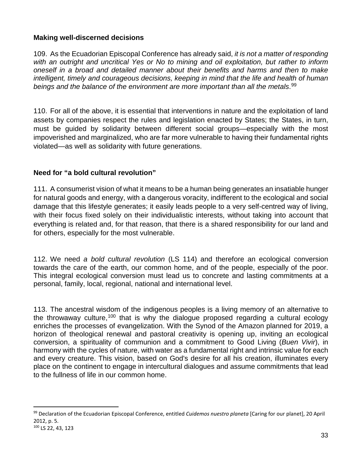## **Making well-discerned decisions**

109. As the Ecuadorian Episcopal Conference has already said, *it is not a matter of responding with an outright and uncritical Yes or No to mining and oil exploitation, but rather to inform oneself in a broad and detailed manner about their benefits and harms and then to make intelligent, timely and courageous decisions, keeping in mind that the life and health of human beings and the balance of the environment are more important than all the metals*. [99](#page-33-0)

110. For all of the above, it is essential that interventions in nature and the exploitation of land assets by companies respect the rules and legislation enacted by States; the States, in turn, must be guided by solidarity between different social groups—especially with the most impoverished and marginalized, who are far more vulnerable to having their fundamental rights violated—as well as solidarity with future generations.

## **Need for "a bold cultural revolution"**

111. A consumerist vision of what it means to be a human being generates an insatiable hunger for natural goods and energy, with a dangerous voracity, indifferent to the ecological and social damage that this lifestyle generates; it easily leads people to a very self-centred way of living, with their focus fixed solely on their individualistic interests, without taking into account that everything is related and, for that reason, that there is a shared responsibility for our land and for others, especially for the most vulnerable.

112. We need *a bold cultural revolution* (LS 114) and therefore an ecological conversion towards the care of the earth, our common home, and of the people, especially of the poor. This integral ecological conversion must lead us to concrete and lasting commitments at a personal, family, local, regional, national and international level.

113. The ancestral wisdom of the indigenous peoples is a living memory of an alternative to the throwaway culture,  $100$  that is why the dialogue proposed regarding a cultural ecology enriches the processes of evangelization. With the Synod of the Amazon planned for 2019, a horizon of theological renewal and pastoral creativity is opening up, inviting an ecological conversion, a spirituality of communion and a commitment to Good Living (*Buen Vivir*), in harmony with the cycles of nature, with water as a fundamental right and intrinsic value for each and every creature. This vision, based on God's desire for all his creation, illuminates every place on the continent to engage in intercultural dialogues and assume commitments that lead to the fullness of life in our common home.

<span id="page-33-1"></span><span id="page-33-0"></span> <sup>99</sup> Declaration of the Ecuadorian Episcopal Conference, entitled *Cuidemos nuestro planeta* [Caring for our planet], 20 April 2012, p. 5. <sup>100</sup> LS 22, 43, 123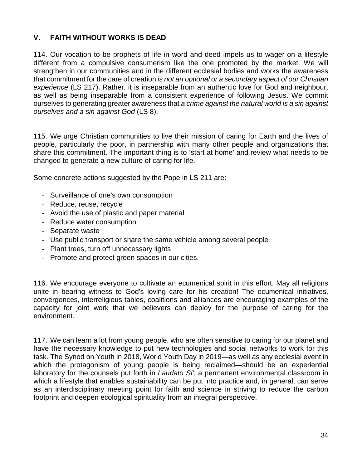# **V. FAITH WITHOUT WORKS IS DEAD**

114. Our vocation to be prophets of life in word and deed impels us to wager on a lifestyle different from a compulsive consumerism like the one promoted by the market. We will strengthen in our communities and in the different ecclesial bodies and works the awareness that commitment for the care of creation *is not an optional or a secondary aspect of our Christian experience* (LS 217). Rather, it is inseparable from an authentic love for God and neighbour, as well as being inseparable from a consistent experience of following Jesus. We commit ourselves to generating greater awareness that *a crime against the natural world is a sin against ourselves and a sin against God* (LS 8).

115. We urge Christian communities to live their mission of caring for Earth and the lives of people, particularly the poor, in partnership with many other people and organizations that share this commitment. The important thing is to 'start at home' and review what needs to be changed to generate a new culture of caring for life.

Some concrete actions suggested by the Pope in LS 211 are:

- Surveillance of one's own consumption
- Reduce, reuse, recycle
- Avoid the use of plastic and paper material
- Reduce water consumption
- Separate waste
- Use public transport or share the same vehicle among several people
- Plant trees, turn off unnecessary lights
- Promote and protect green spaces in our cities.

116. We encourage everyone to cultivate an ecumenical spirit in this effort. May all religions unite in bearing witness to God's loving care for his creation! The ecumenical initiatives, convergences, interreligious tables, coalitions and alliances are encouraging examples of the capacity for joint work that we believers can deploy for the purpose of caring for the environment.

117. We can learn a lot from young people, who are often sensitive to caring for our planet and have the necessary knowledge to put new technologies and social networks to work for this task. The Synod on Youth in 2018, World Youth Day in 2019—as well as any ecclesial event in which the protagonism of young people is being reclaimed—should be an experiential laboratory for the counsels put forth in *Laudato Si'*, a permanent environmental classroom in which a lifestyle that enables sustainability can be put into practice and, in general, can serve as an interdisciplinary meeting point for faith and science in striving to reduce the carbon footprint and deepen ecological spirituality from an integral perspective.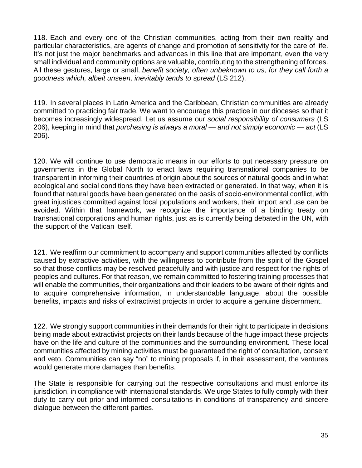118. Each and every one of the Christian communities, acting from their own reality and particular characteristics, are agents of change and promotion of sensitivity for the care of life. It's not just the major benchmarks and advances in this line that are important, even the very small individual and community options are valuable, contributing to the strengthening of forces. All these gestures, large or small, *benefit society, often unbeknown to us, for they call forth a goodness which, albeit unseen, inevitably tends to spread* (LS 212).

119. In several places in Latin America and the Caribbean, Christian communities are already committed to practicing fair trade. We want to encourage this practice in our dioceses so that it becomes increasingly widespread. Let us assume our *social responsibility of consumers* (LS 206), keeping in mind that *purchasing is always a moral — and not simply economic — act* (LS 206).

120. We will continue to use democratic means in our efforts to put necessary pressure on governments in the Global North to enact laws requiring transnational companies to be transparent in informing their countries of origin about the sources of natural goods and in what ecological and social conditions they have been extracted or generated. In that way, when it is found that natural goods have been generated on the basis of socio-environmental conflict, with great injustices committed against local populations and workers, their import and use can be avoided. Within that framework, we recognize the importance of a binding treaty on transnational corporations and human rights, just as is currently being debated in the UN, with the support of the Vatican itself.

121. We reaffirm our commitment to accompany and support communities affected by conflicts caused by extractive activities, with the willingness to contribute from the spirit of the Gospel so that those conflicts may be resolved peacefully and with justice and respect for the rights of peoples and cultures. For that reason, we remain committed to fostering training processes that will enable the communities, their organizations and their leaders to be aware of their rights and to acquire comprehensive information, in understandable language, about the possible benefits, impacts and risks of extractivist projects in order to acquire a genuine discernment.

122. We strongly support communities in their demands for their right to participate in decisions being made about extractivist projects on their lands because of the huge impact these projects have on the life and culture of the communities and the surrounding environment. These local communities affected by mining activities must be guaranteed the right of consultation, consent and veto. Communities can say "no" to mining proposals if, in their assessment, the ventures would generate more damages than benefits.

The State is responsible for carrying out the respective consultations and must enforce its jurisdiction, in compliance with international standards. We urge States to fully comply with their duty to carry out prior and informed consultations in conditions of transparency and sincere dialogue between the different parties.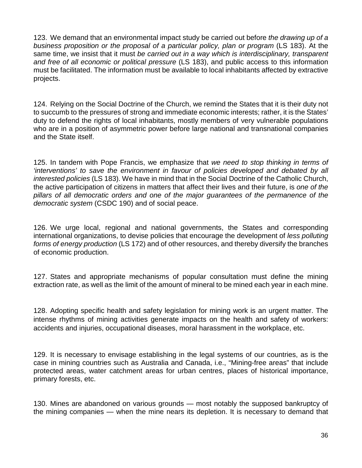123. We demand that an environmental impact study be carried out before *the drawing up of a*  business proposition or the proposal of a particular policy, plan or program (LS 183). At the same time, we insist that it must *be carried out in a way which is interdisciplinary, transparent and free of all economic or political pressure* (LS 183), and public access to this information must be facilitated. The information must be available to local inhabitants affected by extractive projects.

124. Relying on the Social Doctrine of the Church, we remind the States that it is their duty not to succumb to the pressures of strong and immediate economic interests; rather, it is the States' duty to defend the rights of local inhabitants, mostly members of very vulnerable populations who are in a position of asymmetric power before large national and transnational companies and the State itself.

125. In tandem with Pope Francis, we emphasize that *we need to stop thinking in terms of 'interventions' to save the environment in favour of policies developed and debated by all interested policies* (LS 183). We have in mind that in the Social Doctrine of the Catholic Church, the active participation of citizens in matters that affect their lives and their future, is *one of the pillars of all democratic orders and one of the major guarantees of the permanence of the democratic system* (CSDC 190) and of social peace.

126. We urge local, regional and national governments, the States and corresponding international organizations, to devise policies that encourage the development of *less polluting forms of energy production* (LS 172) and of other resources, and thereby diversify the branches of economic production.

127. States and appropriate mechanisms of popular consultation must define the mining extraction rate, as well as the limit of the amount of mineral to be mined each year in each mine.

128. Adopting specific health and safety legislation for mining work is an urgent matter. The intense rhythms of mining activities generate impacts on the health and safety of workers: accidents and injuries, occupational diseases, moral harassment in the workplace, etc.

129. It is necessary to envisage establishing in the legal systems of our countries, as is the case in mining countries such as Australia and Canada, i.e., "Mining-free areas" that include protected areas, water catchment areas for urban centres, places of historical importance, primary forests, etc.

130. Mines are abandoned on various grounds — most notably the supposed bankruptcy of the mining companies — when the mine nears its depletion. It is necessary to demand that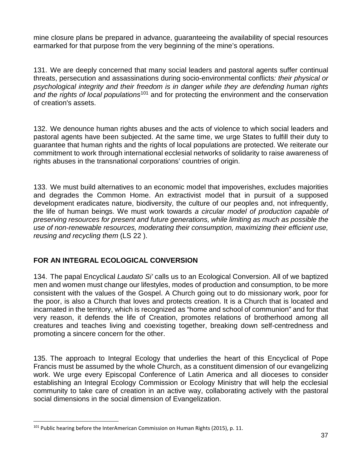mine closure plans be prepared in advance, guaranteeing the availability of special resources earmarked for that purpose from the very beginning of the mine's operations.

131. We are deeply concerned that many social leaders and pastoral agents suffer continual threats, persecution and assassinations during socio-environmental conflicts*: their physical or psychological integrity and their freedom is in danger while they are defending human rights and the rights of local populations*[101](#page-37-0) and for protecting the environment and the conservation of creation's assets.

132. We denounce human rights abuses and the acts of violence to which social leaders and pastoral agents have been subjected. At the same time, we urge States to fulfill their duty to guarantee that human rights and the rights of local populations are protected. We reiterate our commitment to work through international ecclesial networks of solidarity to raise awareness of rights abuses in the transnational corporations' countries of origin.

133. We must build alternatives to an economic model that impoverishes, excludes majorities and degrades the Common Home. An extractivist model that in pursuit of a supposed development eradicates nature, biodiversity, the culture of our peoples and, not infrequently, the life of human beings. We must work towards *a circular model of production capable of preserving resources for present and future generations, while limiting as much as possible the use of non-renewable resources, moderating their consumption, maximizing their efficient use, reusing and recycling them* (LS 22 ).

## **FOR AN INTEGRAL ECOLOGICAL CONVERSION**

134. The papal Encyclical *Laudato Si'* calls us to an Ecological Conversion. All of we baptized men and women must change our lifestyles, modes of production and consumption, to be more consistent with the values of the Gospel. A Church going out to do missionary work, poor for the poor, is also a Church that loves and protects creation. It is a Church that is located and incarnated in the territory, which is recognized as "home and school of communion" and for that very reason, it defends the life of Creation, promotes relations of brotherhood among all creatures and teaches living and coexisting together, breaking down self-centredness and promoting a sincere concern for the other.

135. The approach to Integral Ecology that underlies the heart of this Encyclical of Pope Francis must be assumed by the whole Church, as a constituent dimension of our evangelizing work. We urge every Episcopal Conference of Latin America and all dioceses to consider establishing an Integral Ecology Commission or Ecology Ministry that will help the ecclesial community to take care of creation in an active way, collaborating actively with the pastoral social dimensions in the social dimension of Evangelization.

<span id="page-37-0"></span> $101$  Public hearing before the InterAmerican Commission on Human Rights (2015), p. 11.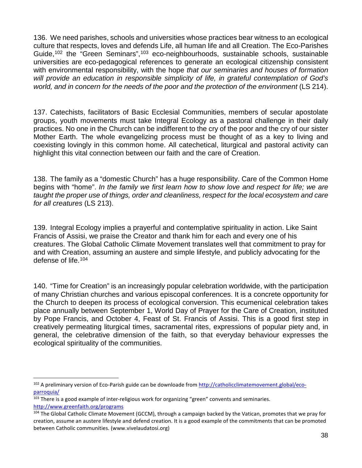136. We need parishes, schools and universities whose practices bear witness to an ecological culture that respects, loves and defends Life, all human life and all Creation. The Eco-Parishes Guide,<sup>[102](#page-38-0)</sup> the "Green Seminars",<sup>[103](#page-38-1)</sup> eco-neighbourhoods, sustainable schools, sustainable universities are eco-pedagogical references to generate an ecological citizenship consistent with environmental responsibility, with the hope *that our seminaries and houses of formation will provide an education in responsible simplicity of life, in grateful contemplation of God's world, and in concern for the needs of the poor and the protection of the environment* (LS 214).

137. Catechists, facilitators of Basic Ecclesial Communities, members of secular apostolate groups, youth movements must take Integral Ecology as a pastoral challenge in their daily practices. No one in the Church can be indifferent to the cry of the poor and the cry of our sister Mother Earth. The whole evangelizing process must be thought of as a key to living and coexisting lovingly in this common home. All catechetical, liturgical and pastoral activity can highlight this vital connection between our faith and the care of Creation.

138. The family as a "domestic Church" has a huge responsibility. Care of the Common Home begins with "home". *In the family we first learn how to show love and respect for life; we are taught the proper use of things, order and cleanliness, respect for the local ecosystem and care for all creatures* (LS 213).

139. Integral Ecology implies a prayerful and contemplative spirituality in action. Like Saint Francis of Assisi, we praise the Creator and thank him for each and every one of his creatures. The Global Catholic Climate Movement translates well that commitment to pray for and with Creation, assuming an austere and simple lifestyle, and publicly advocating for the defense of life. [104](#page-38-2)

140. "Time for Creation" is an increasingly popular celebration worldwide, with the participation of many Christian churches and various episcopal conferences. It is a concrete opportunity for the Church to deepen its process of ecological conversion. This ecumenical celebration takes place annually between September 1, World Day of Prayer for the Care of Creation, instituted by Pope Francis, and October 4, Feast of St. Francis of Assisi. This is a good first step in creatively permeating liturgical times, sacramental rites, expressions of popular piety and, in general, the celebrative dimension of the faith, so that everyday behaviour expresses the ecological spirituality of the communities.

<span id="page-38-0"></span><sup>&</sup>lt;sup>102</sup> A preliminary version of Eco-Parish guide can be downloade from [http://catholicclimatemovement.global/eco](http://catholicclimatemovement.global/eco-parroquia/)[parroquia/](http://catholicclimatemovement.global/eco-parroquia/)

<span id="page-38-1"></span> $103$  There is a good example of inter-religious work for organizing "green" convents and seminaries.

<http://www.greenfaith.org/programs>

<span id="page-38-2"></span><sup>104</sup> The Global Catholic Climate Movement (GCCM), through a campaign backed by the Vatican, promotes that we pray for creation, assume an austere lifestyle and defend creation. It is a good example of the commitments that can be promoted between Catholic communities. (www.vivelaudatosi.org)